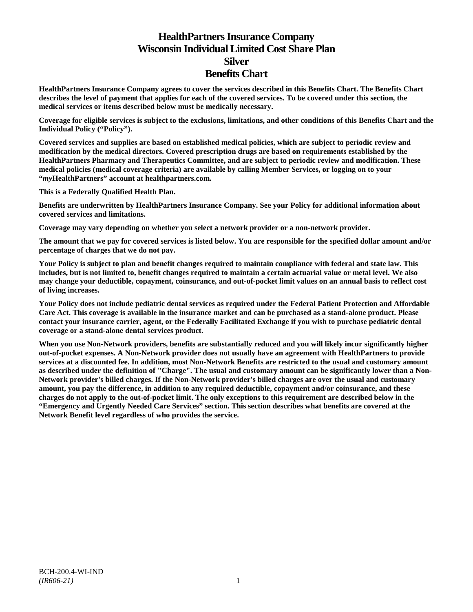# **HealthPartners Insurance Company Wisconsin Individual Limited Cost Share Plan Silver Benefits Chart**

**HealthPartners Insurance Company agrees to cover the services described in this Benefits Chart. The Benefits Chart describes the level of payment that applies for each of the covered services. To be covered under this section, the medical services or items described below must be medically necessary.**

**Coverage for eligible services is subject to the exclusions, limitations, and other conditions of this Benefits Chart and the Individual Policy ("Policy").**

**Covered services and supplies are based on established medical policies, which are subject to periodic review and modification by the medical directors. Covered prescription drugs are based on requirements established by the HealthPartners Pharmacy and Therapeutics Committee, and are subject to periodic review and modification. These medical policies (medical coverage criteria) are available by calling Member Services, or logging on to your "***my***HealthPartners" account at [healthpartners.com.](http://www.healthpartners.com/)**

**This is a Federally Qualified Health Plan.**

**Benefits are underwritten by HealthPartners Insurance Company. See your Policy for additional information about covered services and limitations.**

**Coverage may vary depending on whether you select a network provider or a non-network provider.**

**The amount that we pay for covered services is listed below. You are responsible for the specified dollar amount and/or percentage of charges that we do not pay.**

**Your Policy is subject to plan and benefit changes required to maintain compliance with federal and state law. This includes, but is not limited to, benefit changes required to maintain a certain actuarial value or metal level. We also may change your deductible, copayment, coinsurance, and out-of-pocket limit values on an annual basis to reflect cost of living increases.**

**Your Policy does not include pediatric dental services as required under the Federal Patient Protection and Affordable Care Act. This coverage is available in the insurance market and can be purchased as a stand-alone product. Please contact your insurance carrier, agent, or the Federally Facilitated Exchange if you wish to purchase pediatric dental coverage or a stand-alone dental services product.**

**When you use Non-Network providers, benefits are substantially reduced and you will likely incur significantly higher out-of-pocket expenses. A Non-Network provider does not usually have an agreement with HealthPartners to provide services at a discounted fee. In addition, most Non-Network Benefits are restricted to the usual and customary amount as described under the definition of "Charge". The usual and customary amount can be significantly lower than a Non-Network provider's billed charges. If the Non-Network provider's billed charges are over the usual and customary amount, you pay the difference, in addition to any required deductible, copayment and/or coinsurance, and these charges do not apply to the out-of-pocket limit. The only exceptions to this requirement are described below in the "Emergency and Urgently Needed Care Services" section. This section describes what benefits are covered at the Network Benefit level regardless of who provides the service.**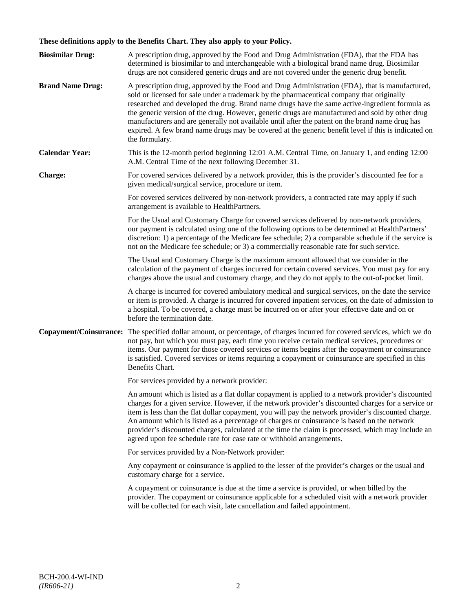# **These definitions apply to the Benefits Chart. They also apply to your Policy.**

| <b>Biosimilar Drug:</b> | A prescription drug, approved by the Food and Drug Administration (FDA), that the FDA has<br>determined is biosimilar to and interchangeable with a biological brand name drug. Biosimilar<br>drugs are not considered generic drugs and are not covered under the generic drug benefit.                                                                                                                                                                                                                                                                                                                                     |
|-------------------------|------------------------------------------------------------------------------------------------------------------------------------------------------------------------------------------------------------------------------------------------------------------------------------------------------------------------------------------------------------------------------------------------------------------------------------------------------------------------------------------------------------------------------------------------------------------------------------------------------------------------------|
| <b>Brand Name Drug:</b> | A prescription drug, approved by the Food and Drug Administration (FDA), that is manufactured,<br>sold or licensed for sale under a trademark by the pharmaceutical company that originally<br>researched and developed the drug. Brand name drugs have the same active-ingredient formula as<br>the generic version of the drug. However, generic drugs are manufactured and sold by other drug<br>manufacturers and are generally not available until after the patent on the brand name drug has<br>expired. A few brand name drugs may be covered at the generic benefit level if this is indicated on<br>the formulary. |
| <b>Calendar Year:</b>   | This is the 12-month period beginning 12:01 A.M. Central Time, on January 1, and ending 12:00<br>A.M. Central Time of the next following December 31.                                                                                                                                                                                                                                                                                                                                                                                                                                                                        |
| Charge:                 | For covered services delivered by a network provider, this is the provider's discounted fee for a<br>given medical/surgical service, procedure or item.                                                                                                                                                                                                                                                                                                                                                                                                                                                                      |
|                         | For covered services delivered by non-network providers, a contracted rate may apply if such<br>arrangement is available to HealthPartners.                                                                                                                                                                                                                                                                                                                                                                                                                                                                                  |
|                         | For the Usual and Customary Charge for covered services delivered by non-network providers,<br>our payment is calculated using one of the following options to be determined at HealthPartners'<br>discretion: 1) a percentage of the Medicare fee schedule; 2) a comparable schedule if the service is<br>not on the Medicare fee schedule; or 3) a commercially reasonable rate for such service.                                                                                                                                                                                                                          |
|                         | The Usual and Customary Charge is the maximum amount allowed that we consider in the<br>calculation of the payment of charges incurred for certain covered services. You must pay for any<br>charges above the usual and customary charge, and they do not apply to the out-of-pocket limit.                                                                                                                                                                                                                                                                                                                                 |
|                         | A charge is incurred for covered ambulatory medical and surgical services, on the date the service<br>or item is provided. A charge is incurred for covered inpatient services, on the date of admission to<br>a hospital. To be covered, a charge must be incurred on or after your effective date and on or<br>before the termination date.                                                                                                                                                                                                                                                                                |
| Copayment/Coinsurance:  | The specified dollar amount, or percentage, of charges incurred for covered services, which we do<br>not pay, but which you must pay, each time you receive certain medical services, procedures or<br>items. Our payment for those covered services or items begins after the copayment or coinsurance<br>is satisfied. Covered services or items requiring a copayment or coinsurance are specified in this<br>Benefits Chart.                                                                                                                                                                                             |
|                         | For services provided by a network provider:                                                                                                                                                                                                                                                                                                                                                                                                                                                                                                                                                                                 |
|                         | An amount which is listed as a flat dollar copayment is applied to a network provider's discounted<br>charges for a given service. However, if the network provider's discounted charges for a service or<br>item is less than the flat dollar copayment, you will pay the network provider's discounted charge.<br>An amount which is listed as a percentage of charges or coinsurance is based on the network<br>provider's discounted charges, calculated at the time the claim is processed, which may include an<br>agreed upon fee schedule rate for case rate or withhold arrangements.                               |
|                         | For services provided by a Non-Network provider:                                                                                                                                                                                                                                                                                                                                                                                                                                                                                                                                                                             |
|                         | Any copayment or coinsurance is applied to the lesser of the provider's charges or the usual and<br>customary charge for a service.                                                                                                                                                                                                                                                                                                                                                                                                                                                                                          |
|                         | A copayment or coinsurance is due at the time a service is provided, or when billed by the<br>provider. The copayment or coinsurance applicable for a scheduled visit with a network provider<br>will be collected for each visit, late cancellation and failed appointment.                                                                                                                                                                                                                                                                                                                                                 |
|                         |                                                                                                                                                                                                                                                                                                                                                                                                                                                                                                                                                                                                                              |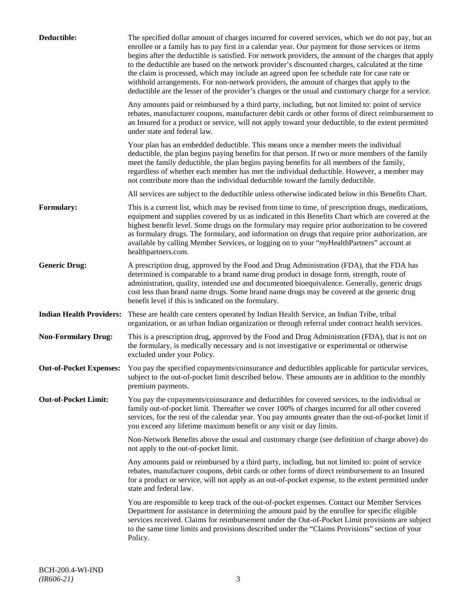| Deductible:                     | The specified dollar amount of charges incurred for covered services, which we do not pay, but an<br>enrollee or a family has to pay first in a calendar year. Our payment for those services or items<br>begins after the deductible is satisfied. For network providers, the amount of the charges that apply<br>to the deductible are based on the network provider's discounted charges, calculated at the time<br>the claim is processed, which may include an agreed upon fee schedule rate for case rate or<br>withhold arrangements. For non-network providers, the amount of charges that apply to the<br>deductible are the lesser of the provider's charges or the usual and customary charge for a service. |
|---------------------------------|-------------------------------------------------------------------------------------------------------------------------------------------------------------------------------------------------------------------------------------------------------------------------------------------------------------------------------------------------------------------------------------------------------------------------------------------------------------------------------------------------------------------------------------------------------------------------------------------------------------------------------------------------------------------------------------------------------------------------|
|                                 | Any amounts paid or reimbursed by a third party, including, but not limited to: point of service<br>rebates, manufacturer coupons, manufacturer debit cards or other forms of direct reimbursement to<br>an Insured for a product or service, will not apply toward your deductible, to the extent permitted<br>under state and federal law.                                                                                                                                                                                                                                                                                                                                                                            |
|                                 | Your plan has an embedded deductible. This means once a member meets the individual<br>deductible, the plan begins paying benefits for that person. If two or more members of the family<br>meet the family deductible, the plan begins paying benefits for all members of the family,<br>regardless of whether each member has met the individual deductible. However, a member may<br>not contribute more than the individual deductible toward the family deductible.                                                                                                                                                                                                                                                |
|                                 | All services are subject to the deductible unless otherwise indicated below in this Benefits Chart.                                                                                                                                                                                                                                                                                                                                                                                                                                                                                                                                                                                                                     |
| Formulary:                      | This is a current list, which may be revised from time to time, of prescription drugs, medications,<br>equipment and supplies covered by us as indicated in this Benefits Chart which are covered at the<br>highest benefit level. Some drugs on the formulary may require prior authorization to be covered<br>as formulary drugs. The formulary, and information on drugs that require prior authorization, are<br>available by calling Member Services, or logging on to your "myHealthPartners" account at<br>healthpartners.com.                                                                                                                                                                                   |
| <b>Generic Drug:</b>            | A prescription drug, approved by the Food and Drug Administration (FDA), that the FDA has<br>determined is comparable to a brand name drug product in dosage form, strength, route of<br>administration, quality, intended use and documented bioequivalence. Generally, generic drugs<br>cost less than brand name drugs. Some brand name drugs may be covered at the generic drug<br>benefit level if this is indicated on the formulary.                                                                                                                                                                                                                                                                             |
| <b>Indian Health Providers:</b> | These are health care centers operated by Indian Health Service, an Indian Tribe, tribal<br>organization, or an urban Indian organization or through referral under contract health services.                                                                                                                                                                                                                                                                                                                                                                                                                                                                                                                           |
| <b>Non-Formulary Drug:</b>      | This is a prescription drug, approved by the Food and Drug Administration (FDA), that is not on<br>the formulary, is medically necessary and is not investigative or experimental or otherwise<br>excluded under your Policy.                                                                                                                                                                                                                                                                                                                                                                                                                                                                                           |
| <b>Out-of-Pocket Expenses:</b>  | You pay the specified copayments/coinsurance and deductibles applicable for particular services,<br>subject to the out-of-pocket limit described below. These amounts are in addition to the monthly<br>premium payments.                                                                                                                                                                                                                                                                                                                                                                                                                                                                                               |
| <b>Out-of-Pocket Limit:</b>     | You pay the copayments/coinsurance and deductibles for covered services, to the individual or<br>family out-of-pocket limit. Thereafter we cover 100% of charges incurred for all other covered<br>services, for the rest of the calendar year. You pay amounts greater than the out-of-pocket limit if<br>you exceed any lifetime maximum benefit or any visit or day limits.                                                                                                                                                                                                                                                                                                                                          |
|                                 | Non-Network Benefits above the usual and customary charge (see definition of charge above) do<br>not apply to the out-of-pocket limit.                                                                                                                                                                                                                                                                                                                                                                                                                                                                                                                                                                                  |
|                                 | Any amounts paid or reimbursed by a third party, including, but not limited to: point of service<br>rebates, manufacturer coupons, debit cards or other forms of direct reimbursement to an Insured<br>for a product or service, will not apply as an out-of-pocket expense, to the extent permitted under<br>state and federal law.                                                                                                                                                                                                                                                                                                                                                                                    |
|                                 | You are responsible to keep track of the out-of-pocket expenses. Contact our Member Services<br>Department for assistance in determining the amount paid by the enrollee for specific eligible<br>services received. Claims for reimbursement under the Out-of-Pocket Limit provisions are subject<br>to the same time limits and provisions described under the "Claims Provisions" section of your<br>Policy.                                                                                                                                                                                                                                                                                                         |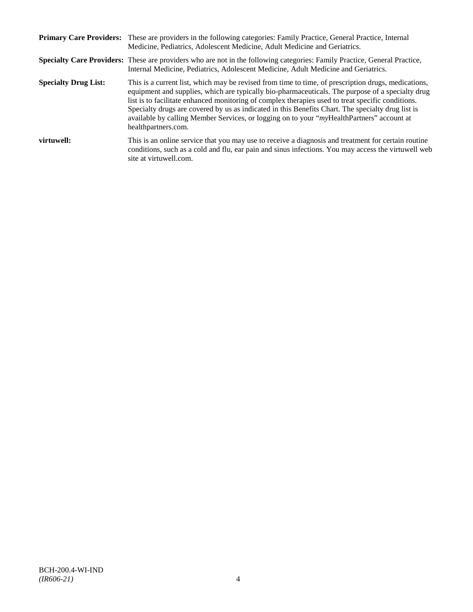|                             | Primary Care Providers: These are providers in the following categories: Family Practice, General Practice, Internal<br>Medicine, Pediatrics, Adolescent Medicine, Adult Medicine and Geriatrics.                                                                                                                                                                                                                                                                                                                                     |
|-----------------------------|---------------------------------------------------------------------------------------------------------------------------------------------------------------------------------------------------------------------------------------------------------------------------------------------------------------------------------------------------------------------------------------------------------------------------------------------------------------------------------------------------------------------------------------|
|                             | <b>Specialty Care Providers:</b> These are providers who are not in the following categories: Family Practice, General Practice,<br>Internal Medicine, Pediatrics, Adolescent Medicine, Adult Medicine and Geriatrics.                                                                                                                                                                                                                                                                                                                |
| <b>Specialty Drug List:</b> | This is a current list, which may be revised from time to time, of prescription drugs, medications,<br>equipment and supplies, which are typically bio-pharmaceuticals. The purpose of a specialty drug<br>list is to facilitate enhanced monitoring of complex therapies used to treat specific conditions.<br>Specialty drugs are covered by us as indicated in this Benefits Chart. The specialty drug list is<br>available by calling Member Services, or logging on to your "myHealthPartners" account at<br>healthpartners.com. |
| virtuwell:                  | This is an online service that you may use to receive a diagnosis and treatment for certain routine<br>conditions, such as a cold and flu, ear pain and sinus infections. You may access the virtuwell web<br>site at virtuwell.com.                                                                                                                                                                                                                                                                                                  |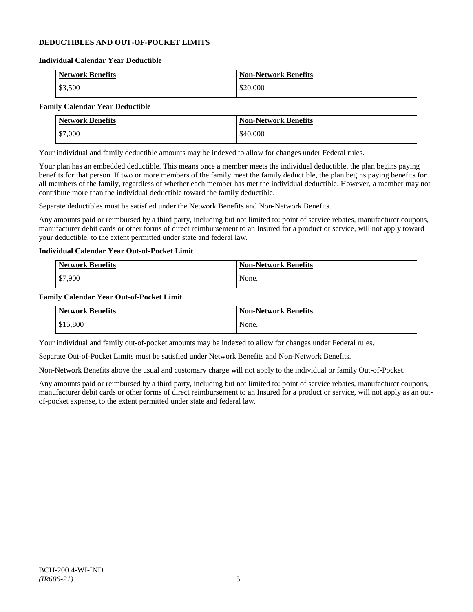## **DEDUCTIBLES AND OUT-OF-POCKET LIMITS**

#### **Individual Calendar Year Deductible**

| Network Benefits | <b>Non-Network Benefits</b> |
|------------------|-----------------------------|
| \$3,500          | \$20,000                    |

# **Family Calendar Year Deductible**

| <b>Network Benefits</b> | <b>Non-Network Benefits</b> |
|-------------------------|-----------------------------|
| \$7,000                 | \$40,000                    |

Your individual and family deductible amounts may be indexed to allow for changes under Federal rules.

Your plan has an embedded deductible. This means once a member meets the individual deductible, the plan begins paying benefits for that person. If two or more members of the family meet the family deductible, the plan begins paying benefits for all members of the family, regardless of whether each member has met the individual deductible. However, a member may not contribute more than the individual deductible toward the family deductible.

Separate deductibles must be satisfied under the Network Benefits and Non-Network Benefits.

Any amounts paid or reimbursed by a third party, including but not limited to: point of service rebates, manufacturer coupons, manufacturer debit cards or other forms of direct reimbursement to an Insured for a product or service, will not apply toward your deductible, to the extent permitted under state and federal law.

## **Individual Calendar Year Out-of-Pocket Limit**

| Network Benefits | <b>Non-Network Benefits</b> |
|------------------|-----------------------------|
| \$7,900          | None.                       |

#### **Family Calendar Year Out-of-Pocket Limit**

| <b>Network Benefits</b> | <b>Non-Network Benefits</b> |
|-------------------------|-----------------------------|
| \$15,800                | None.                       |

Your individual and family out-of-pocket amounts may be indexed to allow for changes under Federal rules.

Separate Out-of-Pocket Limits must be satisfied under Network Benefits and Non-Network Benefits.

Non-Network Benefits above the usual and customary charge will not apply to the individual or family Out-of-Pocket.

Any amounts paid or reimbursed by a third party, including but not limited to: point of service rebates, manufacturer coupons, manufacturer debit cards or other forms of direct reimbursement to an Insured for a product or service, will not apply as an outof-pocket expense, to the extent permitted under state and federal law.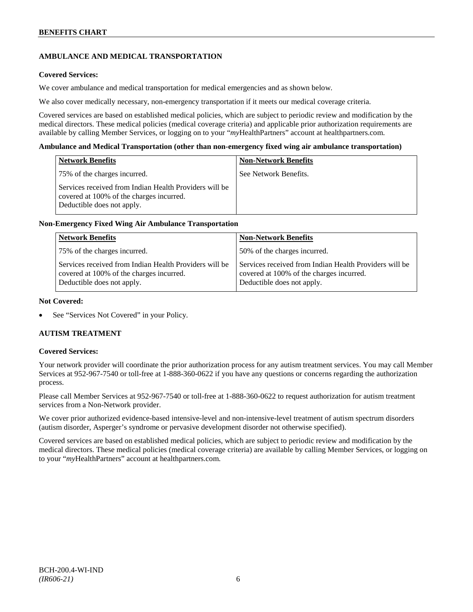# **AMBULANCE AND MEDICAL TRANSPORTATION**

### **Covered Services:**

We cover ambulance and medical transportation for medical emergencies and as shown below.

We also cover medically necessary, non-emergency transportation if it meets our medical coverage criteria.

Covered services are based on established medical policies, which are subject to periodic review and modification by the medical directors. These medical policies (medical coverage criteria) and applicable prior authorization requirements are available by calling Member Services, or logging on to your "*my*HealthPartners" account a[t healthpartners.com.](http://www.healthpartners.com/)

#### **Ambulance and Medical Transportation (other than non-emergency fixed wing air ambulance transportation)**

| <b>Network Benefits</b>                                                                                                          | <b>Non-Network Benefits</b> |
|----------------------------------------------------------------------------------------------------------------------------------|-----------------------------|
| 75% of the charges incurred.                                                                                                     | See Network Benefits.       |
| Services received from Indian Health Providers will be<br>covered at 100% of the charges incurred.<br>Deductible does not apply. |                             |

## **Non-Emergency Fixed Wing Air Ambulance Transportation**

| <b>Network Benefits</b>                                                                                                          | <b>Non-Network Benefits</b>                                                                                                      |
|----------------------------------------------------------------------------------------------------------------------------------|----------------------------------------------------------------------------------------------------------------------------------|
| 75% of the charges incurred.                                                                                                     | 50% of the charges incurred.                                                                                                     |
| Services received from Indian Health Providers will be<br>covered at 100% of the charges incurred.<br>Deductible does not apply. | Services received from Indian Health Providers will be<br>covered at 100% of the charges incurred.<br>Deductible does not apply. |

#### **Not Covered:**

See "Services Not Covered" in your Policy.

## **AUTISM TREATMENT**

#### **Covered Services:**

Your network provider will coordinate the prior authorization process for any autism treatment services. You may call Member Services at 952-967-7540 or toll-free at 1-888-360-0622 if you have any questions or concerns regarding the authorization process.

Please call Member Services at 952-967-7540 or toll-free at 1-888-360-0622 to request authorization for autism treatment services from a Non-Network provider.

We cover prior authorized evidence-based intensive-level and non-intensive-level treatment of autism spectrum disorders (autism disorder, Asperger's syndrome or pervasive development disorder not otherwise specified).

Covered services are based on established medical policies, which are subject to periodic review and modification by the medical directors. These medical policies (medical coverage criteria) are available by calling Member Services, or logging on to your "*my*HealthPartners" account at [healthpartners.com.](http://www.healthpartners.com/)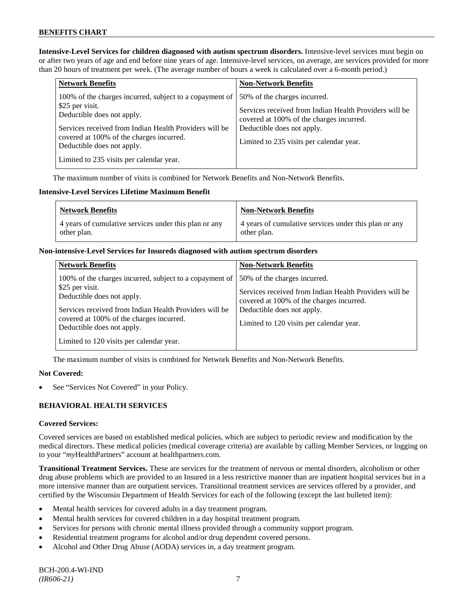**Intensive-Level Services for children diagnosed with autism spectrum disorders.** Intensive-level services must begin on or after two years of age and end before nine years of age. Intensive-level services, on average, are services provided for more than 20 hours of treatment per week. (The average number of hours a week is calculated over a 6-month period.)

| <b>Network Benefits</b>                                                                                                                                                                                                                                                                  | <b>Non-Network Benefits</b>                                                                                                                                                                                  |
|------------------------------------------------------------------------------------------------------------------------------------------------------------------------------------------------------------------------------------------------------------------------------------------|--------------------------------------------------------------------------------------------------------------------------------------------------------------------------------------------------------------|
| 100% of the charges incurred, subject to a copayment of<br>\$25 per visit.<br>Deductible does not apply.<br>Services received from Indian Health Providers will be<br>covered at 100% of the charges incurred.<br>Deductible does not apply.<br>Limited to 235 visits per calendar year. | 50% of the charges incurred.<br>Services received from Indian Health Providers will be<br>covered at 100% of the charges incurred.<br>Deductible does not apply.<br>Limited to 235 visits per calendar year. |

The maximum number of visits is combined for Network Benefits and Non-Network Benefits.

## **Intensive-Level Services Lifetime Maximum Benefit**

| <b>Network Benefits</b>                               | <b>Non-Network Benefits</b>                           |
|-------------------------------------------------------|-------------------------------------------------------|
| 4 years of cumulative services under this plan or any | 4 years of cumulative services under this plan or any |
| other plan.                                           | other plan.                                           |

#### **Non-intensive-Level Services for Insureds diagnosed with autism spectrum disorders**

| <b>Network Benefits</b>                                                                                                                                                                                                                                                                  | <b>Non-Network Benefits</b>                                                                                                                                                                                  |
|------------------------------------------------------------------------------------------------------------------------------------------------------------------------------------------------------------------------------------------------------------------------------------------|--------------------------------------------------------------------------------------------------------------------------------------------------------------------------------------------------------------|
| 100% of the charges incurred, subject to a copayment of<br>\$25 per visit.<br>Deductible does not apply.<br>Services received from Indian Health Providers will be<br>covered at 100% of the charges incurred.<br>Deductible does not apply.<br>Limited to 120 visits per calendar year. | 50% of the charges incurred.<br>Services received from Indian Health Providers will be<br>covered at 100% of the charges incurred.<br>Deductible does not apply.<br>Limited to 120 visits per calendar year. |

The maximum number of visits is combined for Network Benefits and Non-Network Benefits.

## **Not Covered:**

See "Services Not Covered" in your Policy.

## **BEHAVIORAL HEALTH SERVICES**

## **Covered Services:**

Covered services are based on established medical policies, which are subject to periodic review and modification by the medical directors. These medical policies (medical coverage criteria) are available by calling Member Services, or logging on to your "*my*HealthPartners" account at [healthpartners.com.](http://www.healthpartners.com/)

**Transitional Treatment Services.** These are services for the treatment of nervous or mental disorders, alcoholism or other drug abuse problems which are provided to an Insured in a less restrictive manner than are inpatient hospital services but in a more intensive manner than are outpatient services. Transitional treatment services are services offered by a provider, and certified by the Wisconsin Department of Health Services for each of the following (except the last bulleted item):

- Mental health services for covered adults in a day treatment program.
- Mental health services for covered children in a day hospital treatment program.
- Services for persons with chronic mental illness provided through a community support program.
- Residential treatment programs for alcohol and/or drug dependent covered persons.
- Alcohol and Other Drug Abuse (AODA) services in, a day treatment program.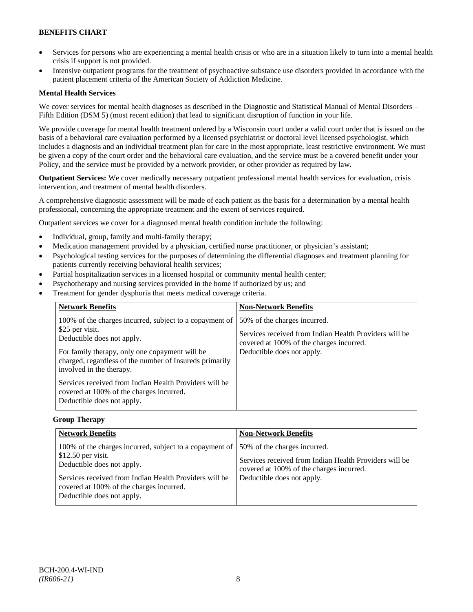- Services for persons who are experiencing a mental health crisis or who are in a situation likely to turn into a mental health crisis if support is not provided.
- Intensive outpatient programs for the treatment of psychoactive substance use disorders provided in accordance with the patient placement criteria of the American Society of Addiction Medicine.

## **Mental Health Services**

We cover services for mental health diagnoses as described in the Diagnostic and Statistical Manual of Mental Disorders – Fifth Edition (DSM 5) (most recent edition) that lead to significant disruption of function in your life.

We provide coverage for mental health treatment ordered by a Wisconsin court under a valid court order that is issued on the basis of a behavioral care evaluation performed by a licensed psychiatrist or doctoral level licensed psychologist, which includes a diagnosis and an individual treatment plan for care in the most appropriate, least restrictive environment. We must be given a copy of the court order and the behavioral care evaluation, and the service must be a covered benefit under your Policy, and the service must be provided by a network provider, or other provider as required by law.

**Outpatient Services:** We cover medically necessary outpatient professional mental health services for evaluation, crisis intervention, and treatment of mental health disorders.

A comprehensive diagnostic assessment will be made of each patient as the basis for a determination by a mental health professional, concerning the appropriate treatment and the extent of services required.

Outpatient services we cover for a diagnosed mental health condition include the following:

- Individual, group, family and multi-family therapy;
- Medication management provided by a physician, certified nurse practitioner, or physician's assistant;
- Psychological testing services for the purposes of determining the differential diagnoses and treatment planning for patients currently receiving behavioral health services;
- Partial hospitalization services in a licensed hospital or community mental health center;
- Psychotherapy and nursing services provided in the home if authorized by us; and
- Treatment for gender dysphoria that meets medical coverage criteria.

| <b>Network Benefits</b>                                                                                                                                                                                                                                                                                                                                                               | <b>Non-Network Benefits</b>                                                                                                                                      |
|---------------------------------------------------------------------------------------------------------------------------------------------------------------------------------------------------------------------------------------------------------------------------------------------------------------------------------------------------------------------------------------|------------------------------------------------------------------------------------------------------------------------------------------------------------------|
| 100% of the charges incurred, subject to a copayment of<br>\$25 per visit.<br>Deductible does not apply.<br>For family therapy, only one copayment will be<br>charged, regardless of the number of Insureds primarily<br>involved in the therapy.<br>Services received from Indian Health Providers will be<br>covered at 100% of the charges incurred.<br>Deductible does not apply. | 50% of the charges incurred.<br>Services received from Indian Health Providers will be<br>covered at 100% of the charges incurred.<br>Deductible does not apply. |

#### **Group Therapy**

| <b>Network Benefits</b>                                                                                                                                                                                                                          | <b>Non-Network Benefits</b>                                                                                                                                      |
|--------------------------------------------------------------------------------------------------------------------------------------------------------------------------------------------------------------------------------------------------|------------------------------------------------------------------------------------------------------------------------------------------------------------------|
| 100% of the charges incurred, subject to a copayment of<br>$$12.50$ per visit.<br>Deductible does not apply.<br>Services received from Indian Health Providers will be<br>covered at 100% of the charges incurred.<br>Deductible does not apply. | 50% of the charges incurred.<br>Services received from Indian Health Providers will be<br>covered at 100% of the charges incurred.<br>Deductible does not apply. |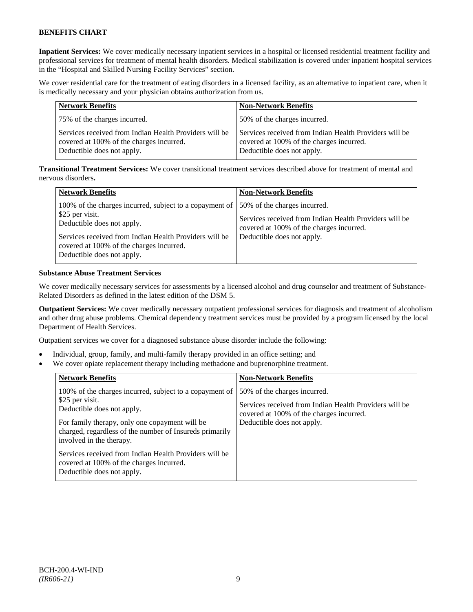**Inpatient Services:** We cover medically necessary inpatient services in a hospital or licensed residential treatment facility and professional services for treatment of mental health disorders. Medical stabilization is covered under inpatient hospital services in the "Hospital and Skilled Nursing Facility Services" section.

We cover residential care for the treatment of eating disorders in a licensed facility, as an alternative to inpatient care, when it is medically necessary and your physician obtains authorization from us.

| <b>Network Benefits</b>                                                                                                          | <b>Non-Network Benefits</b>                                                                                                      |
|----------------------------------------------------------------------------------------------------------------------------------|----------------------------------------------------------------------------------------------------------------------------------|
| 75% of the charges incurred.                                                                                                     | 50% of the charges incurred.                                                                                                     |
| Services received from Indian Health Providers will be<br>covered at 100% of the charges incurred.<br>Deductible does not apply. | Services received from Indian Health Providers will be<br>covered at 100% of the charges incurred.<br>Deductible does not apply. |

**Transitional Treatment Services:** We cover transitional treatment services described above for treatment of mental and nervous disorders**.**

| <b>Network Benefits</b>                                                                                                                                                                                                                      | <b>Non-Network Benefits</b>                                                                                                                                      |
|----------------------------------------------------------------------------------------------------------------------------------------------------------------------------------------------------------------------------------------------|------------------------------------------------------------------------------------------------------------------------------------------------------------------|
| 100% of the charges incurred, subject to a copayment of<br>\$25 per visit.<br>Deductible does not apply.<br>Services received from Indian Health Providers will be<br>covered at 100% of the charges incurred.<br>Deductible does not apply. | 50% of the charges incurred.<br>Services received from Indian Health Providers will be<br>covered at 100% of the charges incurred.<br>Deductible does not apply. |

#### **Substance Abuse Treatment Services**

We cover medically necessary services for assessments by a licensed alcohol and drug counselor and treatment of Substance-Related Disorders as defined in the latest edition of the DSM 5.

**Outpatient Services:** We cover medically necessary outpatient professional services for diagnosis and treatment of alcoholism and other drug abuse problems. Chemical dependency treatment services must be provided by a program licensed by the local Department of Health Services.

Outpatient services we cover for a diagnosed substance abuse disorder include the following:

- Individual, group, family, and multi-family therapy provided in an office setting; and
- We cover opiate replacement therapy including methadone and buprenorphine treatment.

| <b>Network Benefits</b>                                                                                                                                                                                                                                                                                                                                                               | <b>Non-Network Benefits</b>                                                                                                                                      |
|---------------------------------------------------------------------------------------------------------------------------------------------------------------------------------------------------------------------------------------------------------------------------------------------------------------------------------------------------------------------------------------|------------------------------------------------------------------------------------------------------------------------------------------------------------------|
| 100% of the charges incurred, subject to a copayment of<br>\$25 per visit.<br>Deductible does not apply.<br>For family therapy, only one copayment will be<br>charged, regardless of the number of Insureds primarily<br>involved in the therapy.<br>Services received from Indian Health Providers will be<br>covered at 100% of the charges incurred.<br>Deductible does not apply. | 50% of the charges incurred.<br>Services received from Indian Health Providers will be<br>covered at 100% of the charges incurred.<br>Deductible does not apply. |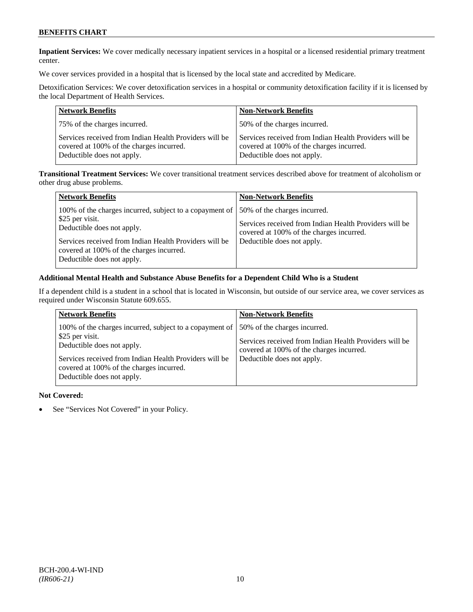**Inpatient Services:** We cover medically necessary inpatient services in a hospital or a licensed residential primary treatment center.

We cover services provided in a hospital that is licensed by the local state and accredited by Medicare.

Detoxification Services: We cover detoxification services in a hospital or community detoxification facility if it is licensed by the local Department of Health Services.

| <b>Network Benefits</b>                                                                                                          | <b>Non-Network Benefits</b>                                                                                                      |
|----------------------------------------------------------------------------------------------------------------------------------|----------------------------------------------------------------------------------------------------------------------------------|
| 75% of the charges incurred.                                                                                                     | 50% of the charges incurred.                                                                                                     |
| Services received from Indian Health Providers will be<br>covered at 100% of the charges incurred.<br>Deductible does not apply. | Services received from Indian Health Providers will be<br>covered at 100% of the charges incurred.<br>Deductible does not apply. |

**Transitional Treatment Services:** We cover transitional treatment services described above for treatment of alcoholism or other drug abuse problems.

| <b>Network Benefits</b>                                                                                                                                                                                                                      | <b>Non-Network Benefits</b>                                                                                                                                      |
|----------------------------------------------------------------------------------------------------------------------------------------------------------------------------------------------------------------------------------------------|------------------------------------------------------------------------------------------------------------------------------------------------------------------|
| 100% of the charges incurred, subject to a copayment of<br>\$25 per visit.<br>Deductible does not apply.<br>Services received from Indian Health Providers will be<br>covered at 100% of the charges incurred.<br>Deductible does not apply. | 50% of the charges incurred.<br>Services received from Indian Health Providers will be<br>covered at 100% of the charges incurred.<br>Deductible does not apply. |

## **Additional Mental Health and Substance Abuse Benefits for a Dependent Child Who is a Student**

If a dependent child is a student in a school that is located in Wisconsin, but outside of our service area, we cover services as required under Wisconsin Statute 609.655.

| <b>Network Benefits</b>                                                                                                                                                                                                                      | <b>Non-Network Benefits</b>                                                                                                                                      |
|----------------------------------------------------------------------------------------------------------------------------------------------------------------------------------------------------------------------------------------------|------------------------------------------------------------------------------------------------------------------------------------------------------------------|
| 100% of the charges incurred, subject to a copayment of<br>\$25 per visit.<br>Deductible does not apply.<br>Services received from Indian Health Providers will be<br>covered at 100% of the charges incurred.<br>Deductible does not apply. | 50% of the charges incurred.<br>Services received from Indian Health Providers will be<br>covered at 100% of the charges incurred.<br>Deductible does not apply. |

#### **Not Covered:**

• See "Services Not Covered" in your Policy.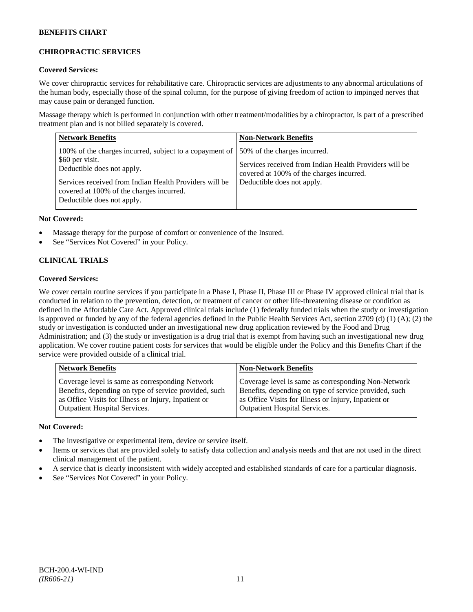## **CHIROPRACTIC SERVICES**

## **Covered Services:**

We cover chiropractic services for rehabilitative care. Chiropractic services are adjustments to any abnormal articulations of the human body, especially those of the spinal column, for the purpose of giving freedom of action to impinged nerves that may cause pain or deranged function.

Massage therapy which is performed in conjunction with other treatment/modalities by a chiropractor, is part of a prescribed treatment plan and is not billed separately is covered.

| <b>Network Benefits</b>                                                                                                                                                                                                                      | <b>Non-Network Benefits</b>                                                                                                                                      |
|----------------------------------------------------------------------------------------------------------------------------------------------------------------------------------------------------------------------------------------------|------------------------------------------------------------------------------------------------------------------------------------------------------------------|
| 100% of the charges incurred, subject to a copayment of<br>\$60 per visit.<br>Deductible does not apply.<br>Services received from Indian Health Providers will be<br>covered at 100% of the charges incurred.<br>Deductible does not apply. | 50% of the charges incurred.<br>Services received from Indian Health Providers will be<br>covered at 100% of the charges incurred.<br>Deductible does not apply. |

## **Not Covered:**

- Massage therapy for the purpose of comfort or convenience of the Insured.
- See "Services Not Covered" in your Policy.

# **CLINICAL TRIALS**

## **Covered Services:**

We cover certain routine services if you participate in a Phase I, Phase II, Phase III or Phase IV approved clinical trial that is conducted in relation to the prevention, detection, or treatment of cancer or other life-threatening disease or condition as defined in the Affordable Care Act. Approved clinical trials include (1) federally funded trials when the study or investigation is approved or funded by any of the federal agencies defined in the Public Health Services Act, section 2709 (d) (1) (A); (2) the study or investigation is conducted under an investigational new drug application reviewed by the Food and Drug Administration; and (3) the study or investigation is a drug trial that is exempt from having such an investigational new drug application. We cover routine patient costs for services that would be eligible under the Policy and this Benefits Chart if the service were provided outside of a clinical trial.

| <b>Network Benefits</b>                                                                                                                                                                                  | <b>Non-Network Benefits</b>                                                                                                                                                                                  |
|----------------------------------------------------------------------------------------------------------------------------------------------------------------------------------------------------------|--------------------------------------------------------------------------------------------------------------------------------------------------------------------------------------------------------------|
| Coverage level is same as corresponding Network<br>Benefits, depending on type of service provided, such<br>as Office Visits for Illness or Injury, Inpatient or<br><b>Outpatient Hospital Services.</b> | Coverage level is same as corresponding Non-Network<br>Benefits, depending on type of service provided, such<br>as Office Visits for Illness or Injury, Inpatient or<br><b>Outpatient Hospital Services.</b> |
|                                                                                                                                                                                                          |                                                                                                                                                                                                              |

## **Not Covered:**

- The investigative or experimental item, device or service itself.
- Items or services that are provided solely to satisfy data collection and analysis needs and that are not used in the direct clinical management of the patient.
- A service that is clearly inconsistent with widely accepted and established standards of care for a particular diagnosis.
- See "Services Not Covered" in your Policy.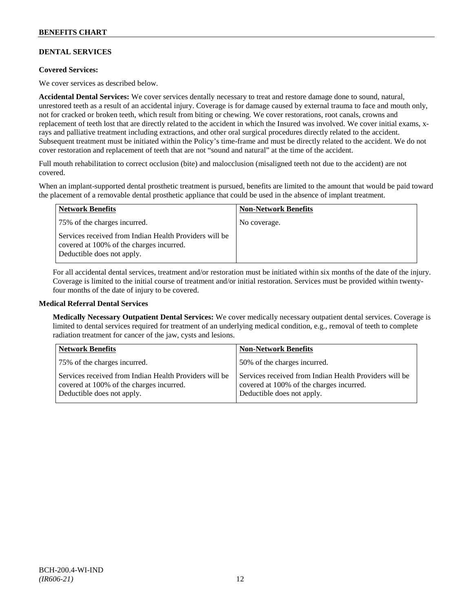## **DENTAL SERVICES**

## **Covered Services:**

We cover services as described below.

**Accidental Dental Services:** We cover services dentally necessary to treat and restore damage done to sound, natural, unrestored teeth as a result of an accidental injury. Coverage is for damage caused by external trauma to face and mouth only, not for cracked or broken teeth, which result from biting or chewing. We cover restorations, root canals, crowns and replacement of teeth lost that are directly related to the accident in which the Insured was involved. We cover initial exams, xrays and palliative treatment including extractions, and other oral surgical procedures directly related to the accident. Subsequent treatment must be initiated within the Policy's time-frame and must be directly related to the accident. We do not cover restoration and replacement of teeth that are not "sound and natural" at the time of the accident.

Full mouth rehabilitation to correct occlusion (bite) and malocclusion (misaligned teeth not due to the accident) are not covered.

When an implant-supported dental prosthetic treatment is pursued, benefits are limited to the amount that would be paid toward the placement of a removable dental prosthetic appliance that could be used in the absence of implant treatment.

| <b>Network Benefits</b>                                                                                                          | <b>Non-Network Benefits</b> |
|----------------------------------------------------------------------------------------------------------------------------------|-----------------------------|
| 75% of the charges incurred.                                                                                                     | No coverage.                |
| Services received from Indian Health Providers will be<br>covered at 100% of the charges incurred.<br>Deductible does not apply. |                             |

For all accidental dental services, treatment and/or restoration must be initiated within six months of the date of the injury. Coverage is limited to the initial course of treatment and/or initial restoration. Services must be provided within twentyfour months of the date of injury to be covered.

#### **Medical Referral Dental Services**

**Medically Necessary Outpatient Dental Services:** We cover medically necessary outpatient dental services. Coverage is limited to dental services required for treatment of an underlying medical condition, e.g., removal of teeth to complete radiation treatment for cancer of the jaw, cysts and lesions.

| <b>Network Benefits</b>                                                                                                          | Non-Network Benefits                                                                                                             |
|----------------------------------------------------------------------------------------------------------------------------------|----------------------------------------------------------------------------------------------------------------------------------|
| 75% of the charges incurred.                                                                                                     | 50% of the charges incurred.                                                                                                     |
| Services received from Indian Health Providers will be<br>covered at 100% of the charges incurred.<br>Deductible does not apply. | Services received from Indian Health Providers will be<br>covered at 100% of the charges incurred.<br>Deductible does not apply. |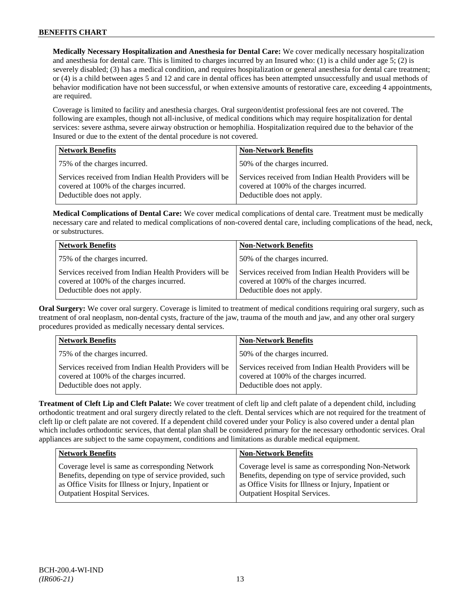**Medically Necessary Hospitalization and Anesthesia for Dental Care:** We cover medically necessary hospitalization and anesthesia for dental care. This is limited to charges incurred by an Insured who: (1) is a child under age  $5$ ; (2) is severely disabled; (3) has a medical condition, and requires hospitalization or general anesthesia for dental care treatment; or (4) is a child between ages 5 and 12 and care in dental offices has been attempted unsuccessfully and usual methods of behavior modification have not been successful, or when extensive amounts of restorative care, exceeding 4 appointments, are required.

Coverage is limited to facility and anesthesia charges. Oral surgeon/dentist professional fees are not covered. The following are examples, though not all-inclusive, of medical conditions which may require hospitalization for dental services: severe asthma, severe airway obstruction or hemophilia. Hospitalization required due to the behavior of the Insured or due to the extent of the dental procedure is not covered.

| <b>Network Benefits</b>                                                                                                          | <b>Non-Network Benefits</b>                                                                                                      |
|----------------------------------------------------------------------------------------------------------------------------------|----------------------------------------------------------------------------------------------------------------------------------|
| 75% of the charges incurred.                                                                                                     | 50% of the charges incurred.                                                                                                     |
| Services received from Indian Health Providers will be<br>covered at 100% of the charges incurred.<br>Deductible does not apply. | Services received from Indian Health Providers will be<br>covered at 100% of the charges incurred.<br>Deductible does not apply. |

**Medical Complications of Dental Care:** We cover medical complications of dental care. Treatment must be medically necessary care and related to medical complications of non-covered dental care, including complications of the head, neck, or substructures.

| <b>Network Benefits</b>                                                                                                          | <b>Non-Network Benefits</b>                                                                                                      |
|----------------------------------------------------------------------------------------------------------------------------------|----------------------------------------------------------------------------------------------------------------------------------|
| 75% of the charges incurred.                                                                                                     | 50% of the charges incurred.                                                                                                     |
| Services received from Indian Health Providers will be<br>covered at 100% of the charges incurred.<br>Deductible does not apply. | Services received from Indian Health Providers will be<br>covered at 100% of the charges incurred.<br>Deductible does not apply. |

**Oral Surgery:** We cover oral surgery. Coverage is limited to treatment of medical conditions requiring oral surgery, such as treatment of oral neoplasm, non-dental cysts, fracture of the jaw, trauma of the mouth and jaw, and any other oral surgery procedures provided as medically necessary dental services.

| <b>Network Benefits</b>                                                                                                          | <b>Non-Network Benefits</b>                                                                                                      |
|----------------------------------------------------------------------------------------------------------------------------------|----------------------------------------------------------------------------------------------------------------------------------|
| 75% of the charges incurred.                                                                                                     | 50% of the charges incurred.                                                                                                     |
| Services received from Indian Health Providers will be<br>covered at 100% of the charges incurred.<br>Deductible does not apply. | Services received from Indian Health Providers will be<br>covered at 100% of the charges incurred.<br>Deductible does not apply. |

**Treatment of Cleft Lip and Cleft Palate:** We cover treatment of cleft lip and cleft palate of a dependent child, including orthodontic treatment and oral surgery directly related to the cleft. Dental services which are not required for the treatment of cleft lip or cleft palate are not covered. If a dependent child covered under your Policy is also covered under a dental plan which includes orthodontic services, that dental plan shall be considered primary for the necessary orthodontic services. Oral appliances are subject to the same copayment, conditions and limitations as durable medical equipment.

| Network Benefits                                      | <b>Non-Network Benefits</b>                           |
|-------------------------------------------------------|-------------------------------------------------------|
| Coverage level is same as corresponding Network       | Coverage level is same as corresponding Non-Network   |
| Benefits, depending on type of service provided, such | Benefits, depending on type of service provided, such |
| as Office Visits for Illness or Injury, Inpatient or  | as Office Visits for Illness or Injury, Inpatient or  |
| Outpatient Hospital Services.                         | <b>Outpatient Hospital Services.</b>                  |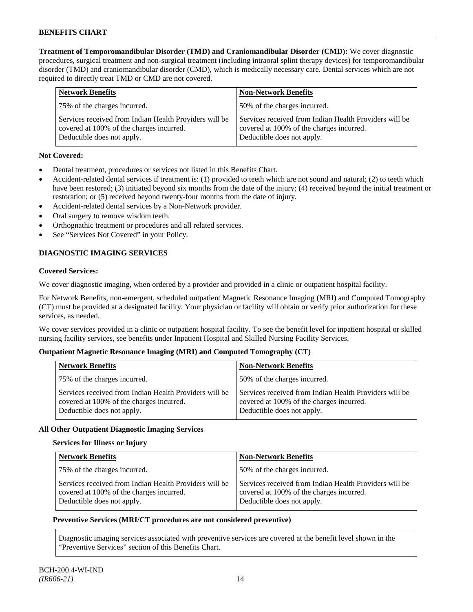**Treatment of Temporomandibular Disorder (TMD) and Craniomandibular Disorder (CMD):** We cover diagnostic procedures, surgical treatment and non-surgical treatment (including intraoral splint therapy devices) for temporomandibular disorder (TMD) and craniomandibular disorder (CMD), which is medically necessary care. Dental services which are not required to directly treat TMD or CMD are not covered.

| <b>Network Benefits</b>                                                                                                          | <b>Non-Network Benefits</b>                                                                                                      |
|----------------------------------------------------------------------------------------------------------------------------------|----------------------------------------------------------------------------------------------------------------------------------|
| 75% of the charges incurred.                                                                                                     | 50% of the charges incurred.                                                                                                     |
| Services received from Indian Health Providers will be<br>covered at 100% of the charges incurred.<br>Deductible does not apply. | Services received from Indian Health Providers will be<br>covered at 100% of the charges incurred.<br>Deductible does not apply. |

# **Not Covered:**

- Dental treatment, procedures or services not listed in this Benefits Chart.
- Accident-related dental services if treatment is: (1) provided to teeth which are not sound and natural; (2) to teeth which have been restored; (3) initiated beyond six months from the date of the injury; (4) received beyond the initial treatment or restoration; or (5) received beyond twenty-four months from the date of injury.
- Accident-related dental services by a Non-Network provider.
- Oral surgery to remove wisdom teeth.
- Orthognathic treatment or procedures and all related services.
- See "Services Not Covered" in your Policy.

# **DIAGNOSTIC IMAGING SERVICES**

#### **Covered Services:**

We cover diagnostic imaging, when ordered by a provider and provided in a clinic or outpatient hospital facility.

For Network Benefits, non-emergent, scheduled outpatient Magnetic Resonance Imaging (MRI) and Computed Tomography (CT) must be provided at a designated facility. Your physician or facility will obtain or verify prior authorization for these services, as needed.

We cover services provided in a clinic or outpatient hospital facility. To see the benefit level for inpatient hospital or skilled nursing facility services, see benefits under Inpatient Hospital and Skilled Nursing Facility Services.

## **Outpatient Magnetic Resonance Imaging (MRI) and Computed Tomography (CT)**

| <b>Network Benefits</b>                                                                                                          | <b>Non-Network Benefits</b>                                                                                                      |
|----------------------------------------------------------------------------------------------------------------------------------|----------------------------------------------------------------------------------------------------------------------------------|
| 75% of the charges incurred.                                                                                                     | 50% of the charges incurred.                                                                                                     |
| Services received from Indian Health Providers will be<br>covered at 100% of the charges incurred.<br>Deductible does not apply. | Services received from Indian Health Providers will be<br>covered at 100% of the charges incurred.<br>Deductible does not apply. |

## **All Other Outpatient Diagnostic Imaging Services**

## **Services for Illness or Injury**

| <b>Network Benefits</b>                                                                                                          | <b>Non-Network Benefits</b>                                                                                                      |
|----------------------------------------------------------------------------------------------------------------------------------|----------------------------------------------------------------------------------------------------------------------------------|
| 75% of the charges incurred.                                                                                                     | 50% of the charges incurred.                                                                                                     |
| Services received from Indian Health Providers will be<br>covered at 100% of the charges incurred.<br>Deductible does not apply. | Services received from Indian Health Providers will be<br>covered at 100% of the charges incurred.<br>Deductible does not apply. |

## **Preventive Services (MRI/CT procedures are not considered preventive)**

Diagnostic imaging services associated with preventive services are covered at the benefit level shown in the "Preventive Services" section of this Benefits Chart.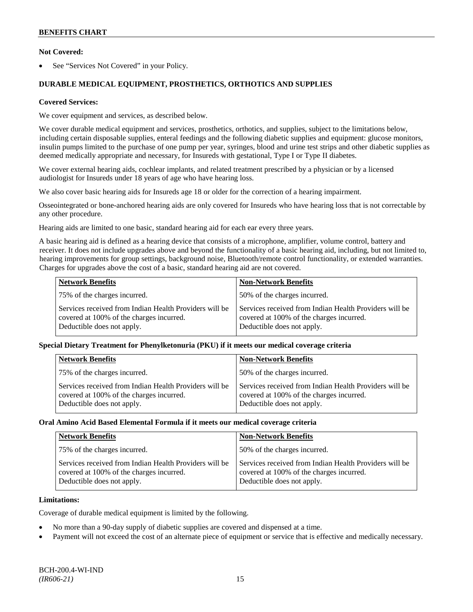## **Not Covered:**

See "Services Not Covered" in your Policy.

# **DURABLE MEDICAL EQUIPMENT, PROSTHETICS, ORTHOTICS AND SUPPLIES**

#### **Covered Services:**

We cover equipment and services, as described below.

We cover durable medical equipment and services, prosthetics, orthotics, and supplies, subject to the limitations below, including certain disposable supplies, enteral feedings and the following diabetic supplies and equipment: glucose monitors, insulin pumps limited to the purchase of one pump per year, syringes, blood and urine test strips and other diabetic supplies as deemed medically appropriate and necessary, for Insureds with gestational, Type I or Type II diabetes.

We cover external hearing aids, cochlear implants, and related treatment prescribed by a physician or by a licensed audiologist for Insureds under 18 years of age who have hearing loss.

We also cover basic hearing aids for Insureds age 18 or older for the correction of a hearing impairment.

Osseointegrated or bone-anchored hearing aids are only covered for Insureds who have hearing loss that is not correctable by any other procedure.

Hearing aids are limited to one basic, standard hearing aid for each ear every three years.

A basic hearing aid is defined as a hearing device that consists of a microphone, amplifier, volume control, battery and receiver. It does not include upgrades above and beyond the functionality of a basic hearing aid, including, but not limited to, hearing improvements for group settings, background noise, Bluetooth/remote control functionality, or extended warranties. Charges for upgrades above the cost of a basic, standard hearing aid are not covered.

| <b>Network Benefits</b>                                                                                                          | <b>Non-Network Benefits</b>                                                                                                      |
|----------------------------------------------------------------------------------------------------------------------------------|----------------------------------------------------------------------------------------------------------------------------------|
| 75% of the charges incurred.                                                                                                     | 50% of the charges incurred.                                                                                                     |
| Services received from Indian Health Providers will be<br>covered at 100% of the charges incurred.<br>Deductible does not apply. | Services received from Indian Health Providers will be<br>covered at 100% of the charges incurred.<br>Deductible does not apply. |

## **Special Dietary Treatment for Phenylketonuria (PKU) if it meets our medical coverage criteria**

| <b>Network Benefits</b>                                                                                                          | <b>Non-Network Benefits</b>                                                                                                      |
|----------------------------------------------------------------------------------------------------------------------------------|----------------------------------------------------------------------------------------------------------------------------------|
| 75% of the charges incurred.                                                                                                     | 50% of the charges incurred.                                                                                                     |
| Services received from Indian Health Providers will be<br>covered at 100% of the charges incurred.<br>Deductible does not apply. | Services received from Indian Health Providers will be<br>covered at 100% of the charges incurred.<br>Deductible does not apply. |

#### **Oral Amino Acid Based Elemental Formula if it meets our medical coverage criteria**

| <b>Network Benefits</b>                                                                                                          | <b>Non-Network Benefits</b>                                                                                                      |
|----------------------------------------------------------------------------------------------------------------------------------|----------------------------------------------------------------------------------------------------------------------------------|
| 75% of the charges incurred.                                                                                                     | 50% of the charges incurred.                                                                                                     |
| Services received from Indian Health Providers will be<br>covered at 100% of the charges incurred.<br>Deductible does not apply. | Services received from Indian Health Providers will be<br>covered at 100% of the charges incurred.<br>Deductible does not apply. |

#### **Limitations:**

Coverage of durable medical equipment is limited by the following.

- No more than a 90-day supply of diabetic supplies are covered and dispensed at a time.
- Payment will not exceed the cost of an alternate piece of equipment or service that is effective and medically necessary.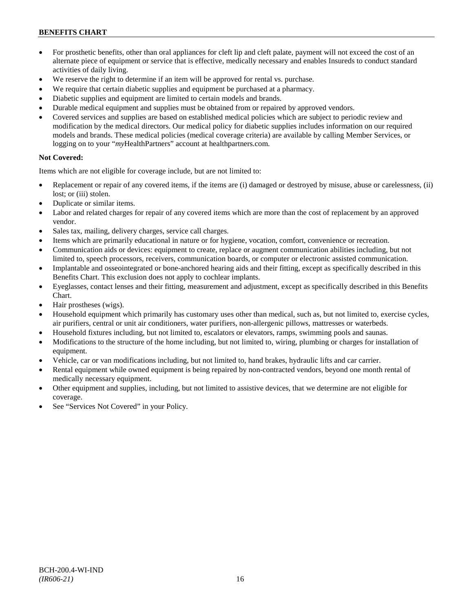- For prosthetic benefits, other than oral appliances for cleft lip and cleft palate, payment will not exceed the cost of an alternate piece of equipment or service that is effective, medically necessary and enables Insureds to conduct standard activities of daily living.
- We reserve the right to determine if an item will be approved for rental vs. purchase.
- We require that certain diabetic supplies and equipment be purchased at a pharmacy.
- Diabetic supplies and equipment are limited to certain models and brands.
- Durable medical equipment and supplies must be obtained from or repaired by approved vendors.
- Covered services and supplies are based on established medical policies which are subject to periodic review and modification by the medical directors. Our medical policy for diabetic supplies includes information on our required models and brands. These medical policies (medical coverage criteria) are available by calling Member Services, or logging on to your "*my*HealthPartners" account at [healthpartners.com.](http://www.healthpartners.com/)

# **Not Covered:**

Items which are not eligible for coverage include, but are not limited to:

- Replacement or repair of any covered items, if the items are (i) damaged or destroyed by misuse, abuse or carelessness, (ii) lost; or (iii) stolen.
- Duplicate or similar items.
- Labor and related charges for repair of any covered items which are more than the cost of replacement by an approved vendor.
- Sales tax, mailing, delivery charges, service call charges.
- Items which are primarily educational in nature or for hygiene, vocation, comfort, convenience or recreation.
- Communication aids or devices: equipment to create, replace or augment communication abilities including, but not limited to, speech processors, receivers, communication boards, or computer or electronic assisted communication.
- Implantable and osseointegrated or bone-anchored hearing aids and their fitting, except as specifically described in this Benefits Chart. This exclusion does not apply to cochlear implants.
- Eyeglasses, contact lenses and their fitting, measurement and adjustment, except as specifically described in this Benefits Chart.
- Hair prostheses (wigs).
- Household equipment which primarily has customary uses other than medical, such as, but not limited to, exercise cycles, air purifiers, central or unit air conditioners, water purifiers, non-allergenic pillows, mattresses or waterbeds.
- Household fixtures including, but not limited to, escalators or elevators, ramps, swimming pools and saunas.
- Modifications to the structure of the home including, but not limited to, wiring, plumbing or charges for installation of equipment.
- Vehicle, car or van modifications including, but not limited to, hand brakes, hydraulic lifts and car carrier.
- Rental equipment while owned equipment is being repaired by non-contracted vendors, beyond one month rental of medically necessary equipment.
- Other equipment and supplies, including, but not limited to assistive devices, that we determine are not eligible for coverage.
- See "Services Not Covered" in your Policy.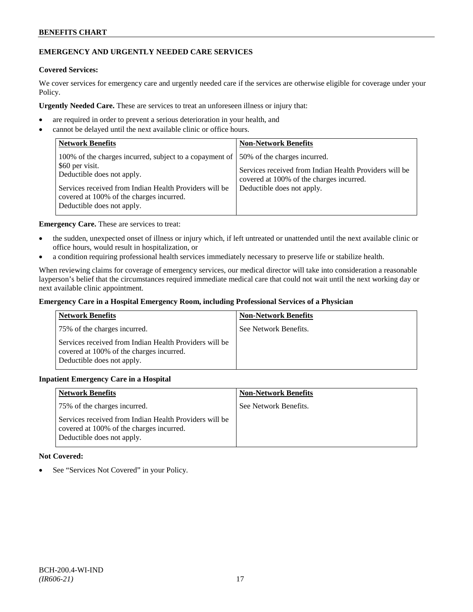# **EMERGENCY AND URGENTLY NEEDED CARE SERVICES**

### **Covered Services:**

We cover services for emergency care and urgently needed care if the services are otherwise eligible for coverage under your Policy.

**Urgently Needed Care.** These are services to treat an unforeseen illness or injury that:

- are required in order to prevent a serious deterioration in your health, and
- cannot be delayed until the next available clinic or office hours.

| <b>Network Benefits</b>                                                                                                                                                                                                                      | <b>Non-Network Benefits</b>                                                                                                                                      |
|----------------------------------------------------------------------------------------------------------------------------------------------------------------------------------------------------------------------------------------------|------------------------------------------------------------------------------------------------------------------------------------------------------------------|
| 100% of the charges incurred, subject to a copayment of<br>\$60 per visit.<br>Deductible does not apply.<br>Services received from Indian Health Providers will be<br>covered at 100% of the charges incurred.<br>Deductible does not apply. | 50% of the charges incurred.<br>Services received from Indian Health Providers will be<br>covered at 100% of the charges incurred.<br>Deductible does not apply. |

**Emergency Care.** These are services to treat:

- the sudden, unexpected onset of illness or injury which, if left untreated or unattended until the next available clinic or office hours, would result in hospitalization, or
- a condition requiring professional health services immediately necessary to preserve life or stabilize health.

When reviewing claims for coverage of emergency services, our medical director will take into consideration a reasonable layperson's belief that the circumstances required immediate medical care that could not wait until the next working day or next available clinic appointment.

#### **Emergency Care in a Hospital Emergency Room, including Professional Services of a Physician**

| <b>Network Benefits</b>                                                                                                          | <b>Non-Network Benefits</b> |
|----------------------------------------------------------------------------------------------------------------------------------|-----------------------------|
| 75% of the charges incurred.                                                                                                     | See Network Benefits.       |
| Services received from Indian Health Providers will be<br>covered at 100% of the charges incurred.<br>Deductible does not apply. |                             |

## **Inpatient Emergency Care in a Hospital**

| <b>Network Benefits</b>                                                                                                          | <b>Non-Network Benefits</b> |
|----------------------------------------------------------------------------------------------------------------------------------|-----------------------------|
| 75% of the charges incurred.                                                                                                     | See Network Benefits.       |
| Services received from Indian Health Providers will be<br>covered at 100% of the charges incurred.<br>Deductible does not apply. |                             |

## **Not Covered:**

• See "Services Not Covered" in your Policy.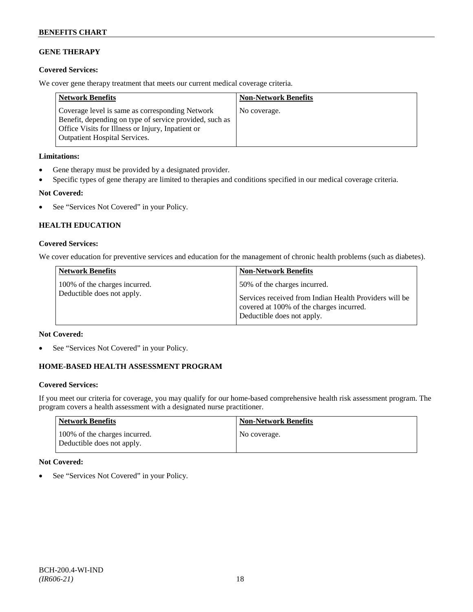# **GENE THERAPY**

## **Covered Services:**

We cover gene therapy treatment that meets our current medical coverage criteria.

| <b>Network Benefits</b>                                                                                                                                                                                 | <b>Non-Network Benefits</b> |
|---------------------------------------------------------------------------------------------------------------------------------------------------------------------------------------------------------|-----------------------------|
| Coverage level is same as corresponding Network<br>Benefit, depending on type of service provided, such as<br>Office Visits for Illness or Injury, Inpatient or<br><b>Outpatient Hospital Services.</b> | No coverage.                |

## **Limitations:**

- Gene therapy must be provided by a designated provider.
- Specific types of gene therapy are limited to therapies and conditions specified in our medical coverage criteria.

## **Not Covered:**

• See "Services Not Covered" in your Policy.

# **HEALTH EDUCATION**

## **Covered Services:**

We cover education for preventive services and education for the management of chronic health problems (such as diabetes).

| <b>Network Benefits</b>                                     | <b>Non-Network Benefits</b>                                                                                                      |
|-------------------------------------------------------------|----------------------------------------------------------------------------------------------------------------------------------|
| 100% of the charges incurred.<br>Deductible does not apply. | 50% of the charges incurred.                                                                                                     |
|                                                             | Services received from Indian Health Providers will be<br>covered at 100% of the charges incurred.<br>Deductible does not apply. |

## **Not Covered:**

See "Services Not Covered" in your Policy.

# **HOME-BASED HEALTH ASSESSMENT PROGRAM**

## **Covered Services:**

If you meet our criteria for coverage, you may qualify for our home-based comprehensive health risk assessment program. The program covers a health assessment with a designated nurse practitioner.

| <b>Network Benefits</b>                                     | <b>Non-Network Benefits</b> |
|-------------------------------------------------------------|-----------------------------|
| 100% of the charges incurred.<br>Deductible does not apply. | No coverage.                |

## **Not Covered:**

See "Services Not Covered" in your Policy.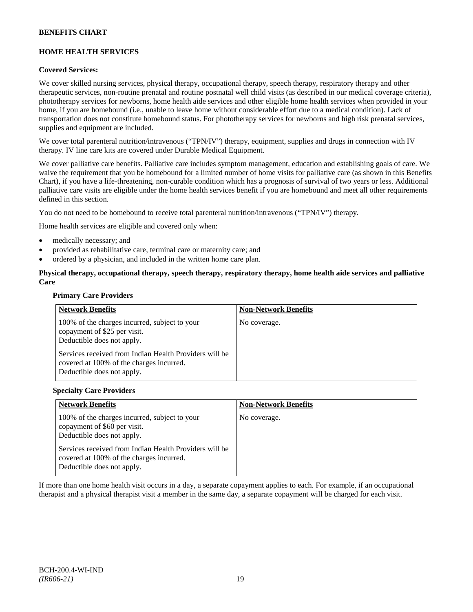# **HOME HEALTH SERVICES**

## **Covered Services:**

We cover skilled nursing services, physical therapy, occupational therapy, speech therapy, respiratory therapy and other therapeutic services, non-routine prenatal and routine postnatal well child visits (as described in our medical coverage criteria), phototherapy services for newborns, home health aide services and other eligible home health services when provided in your home, if you are homebound (i.e., unable to leave home without considerable effort due to a medical condition). Lack of transportation does not constitute homebound status. For phototherapy services for newborns and high risk prenatal services, supplies and equipment are included.

We cover total parenteral nutrition/intravenous ("TPN/IV") therapy, equipment, supplies and drugs in connection with IV therapy. IV line care kits are covered under Durable Medical Equipment.

We cover palliative care benefits. Palliative care includes symptom management, education and establishing goals of care. We waive the requirement that you be homebound for a limited number of home visits for palliative care (as shown in this Benefits Chart), if you have a life-threatening, non-curable condition which has a prognosis of survival of two years or less. Additional palliative care visits are eligible under the home health services benefit if you are homebound and meet all other requirements defined in this section.

You do not need to be homebound to receive total parenteral nutrition/intravenous ("TPN/IV") therapy.

Home health services are eligible and covered only when:

- medically necessary; and
- provided as rehabilitative care, terminal care or maternity care; and
- ordered by a physician, and included in the written home care plan.

## **Physical therapy, occupational therapy, speech therapy, respiratory therapy, home health aide services and palliative Care**

#### **Primary Care Providers**

| <b>Network Benefits</b>                                                                                                          | <b>Non-Network Benefits</b> |
|----------------------------------------------------------------------------------------------------------------------------------|-----------------------------|
| 100% of the charges incurred, subject to your<br>copayment of \$25 per visit.<br>Deductible does not apply.                      | No coverage.                |
| Services received from Indian Health Providers will be<br>covered at 100% of the charges incurred.<br>Deductible does not apply. |                             |

#### **Specialty Care Providers**

| <b>Network Benefits</b>                                                                                                          | <b>Non-Network Benefits</b> |
|----------------------------------------------------------------------------------------------------------------------------------|-----------------------------|
| 100% of the charges incurred, subject to your<br>copayment of \$60 per visit.<br>Deductible does not apply.                      | No coverage.                |
| Services received from Indian Health Providers will be<br>covered at 100% of the charges incurred.<br>Deductible does not apply. |                             |

If more than one home health visit occurs in a day, a separate copayment applies to each. For example, if an occupational therapist and a physical therapist visit a member in the same day, a separate copayment will be charged for each visit.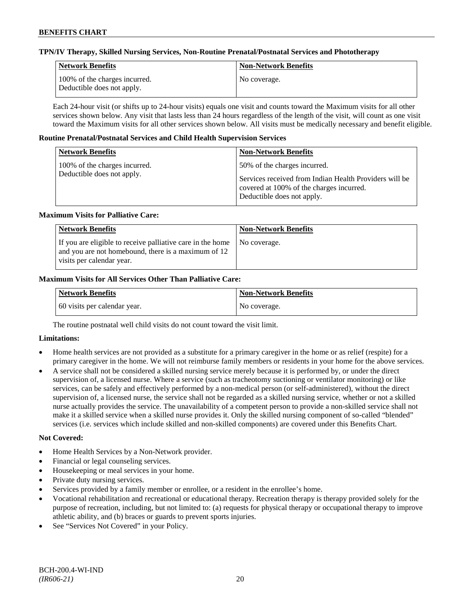#### **TPN/IV Therapy, Skilled Nursing Services, Non-Routine Prenatal/Postnatal Services and Phototherapy**

| Network Benefits                                            | <b>Non-Network Benefits</b> |
|-------------------------------------------------------------|-----------------------------|
| 100% of the charges incurred.<br>Deductible does not apply. | No coverage.                |

Each 24-hour visit (or shifts up to 24-hour visits) equals one visit and counts toward the Maximum visits for all other services shown below. Any visit that lasts less than 24 hours regardless of the length of the visit, will count as one visit toward the Maximum visits for all other services shown below. All visits must be medically necessary and benefit eligible.

#### **Routine Prenatal/Postnatal Services and Child Health Supervision Services**

| <b>Network Benefits</b>                                     | <b>Non-Network Benefits</b>                                                                                                                                      |
|-------------------------------------------------------------|------------------------------------------------------------------------------------------------------------------------------------------------------------------|
| 100% of the charges incurred.<br>Deductible does not apply. | 50% of the charges incurred.<br>Services received from Indian Health Providers will be<br>covered at 100% of the charges incurred.<br>Deductible does not apply. |

#### **Maximum Visits for Palliative Care:**

| <b>Network Benefits</b>                                                                                                                        | <b>Non-Network Benefits</b> |
|------------------------------------------------------------------------------------------------------------------------------------------------|-----------------------------|
| If you are eligible to receive palliative care in the home<br>and you are not homebound, there is a maximum of 12<br>visits per calendar year. | No coverage.                |

## **Maximum Visits for All Services Other Than Palliative Care:**

| <b>Network Benefits</b>      | <b>Non-Network Benefits</b> |
|------------------------------|-----------------------------|
| 60 visits per calendar year. | No coverage.                |

The routine postnatal well child visits do not count toward the visit limit.

## **Limitations:**

- Home health services are not provided as a substitute for a primary caregiver in the home or as relief (respite) for a primary caregiver in the home. We will not reimburse family members or residents in your home for the above services.
- A service shall not be considered a skilled nursing service merely because it is performed by, or under the direct supervision of, a licensed nurse. Where a service (such as tracheotomy suctioning or ventilator monitoring) or like services, can be safely and effectively performed by a non-medical person (or self-administered), without the direct supervision of, a licensed nurse, the service shall not be regarded as a skilled nursing service, whether or not a skilled nurse actually provides the service. The unavailability of a competent person to provide a non-skilled service shall not make it a skilled service when a skilled nurse provides it. Only the skilled nursing component of so-called "blended" services (i.e. services which include skilled and non-skilled components) are covered under this Benefits Chart.

## **Not Covered:**

- Home Health Services by a Non-Network provider.
- Financial or legal counseling services.
- Housekeeping or meal services in your home.
- Private duty nursing services.
- Services provided by a family member or enrollee, or a resident in the enrollee's home.
- Vocational rehabilitation and recreational or educational therapy. Recreation therapy is therapy provided solely for the purpose of recreation, including, but not limited to: (a) requests for physical therapy or occupational therapy to improve athletic ability, and (b) braces or guards to prevent sports injuries.
- See "Services Not Covered" in your Policy.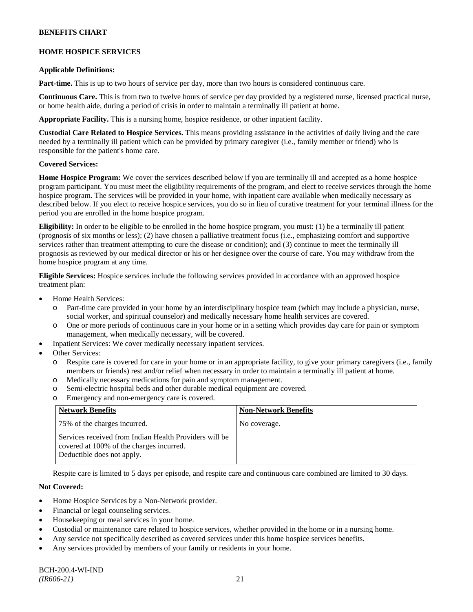### **HOME HOSPICE SERVICES**

#### **Applicable Definitions:**

**Part-time.** This is up to two hours of service per day, more than two hours is considered continuous care.

**Continuous Care.** This is from two to twelve hours of service per day provided by a registered nurse, licensed practical nurse, or home health aide, during a period of crisis in order to maintain a terminally ill patient at home.

**Appropriate Facility.** This is a nursing home, hospice residence, or other inpatient facility.

**Custodial Care Related to Hospice Services.** This means providing assistance in the activities of daily living and the care needed by a terminally ill patient which can be provided by primary caregiver (i.e., family member or friend) who is responsible for the patient's home care.

## **Covered Services:**

**Home Hospice Program:** We cover the services described below if you are terminally ill and accepted as a home hospice program participant. You must meet the eligibility requirements of the program, and elect to receive services through the home hospice program. The services will be provided in your home, with inpatient care available when medically necessary as described below. If you elect to receive hospice services, you do so in lieu of curative treatment for your terminal illness for the period you are enrolled in the home hospice program.

**Eligibility:** In order to be eligible to be enrolled in the home hospice program, you must: (1) be a terminally ill patient (prognosis of six months or less); (2) have chosen a palliative treatment focus (i.e., emphasizing comfort and supportive services rather than treatment attempting to cure the disease or condition); and (3) continue to meet the terminally ill prognosis as reviewed by our medical director or his or her designee over the course of care. You may withdraw from the home hospice program at any time.

**Eligible Services:** Hospice services include the following services provided in accordance with an approved hospice treatment plan:

- Home Health Services:
	- o Part-time care provided in your home by an interdisciplinary hospice team (which may include a physician, nurse, social worker, and spiritual counselor) and medically necessary home health services are covered.
	- o One or more periods of continuous care in your home or in a setting which provides day care for pain or symptom management, when medically necessary, will be covered.
- Inpatient Services: We cover medically necessary inpatient services.
- Other Services:
	- o Respite care is covered for care in your home or in an appropriate facility, to give your primary caregivers (i.e., family members or friends) rest and/or relief when necessary in order to maintain a terminally ill patient at home*.*
	- o Medically necessary medications for pain and symptom management.
	- o Semi-electric hospital beds and other durable medical equipment are covered.
	- o Emergency and non-emergency care is covered.

| <b>Network Benefits</b>                                                                                                          | <b>Non-Network Benefits</b> |
|----------------------------------------------------------------------------------------------------------------------------------|-----------------------------|
| 75% of the charges incurred.                                                                                                     | No coverage.                |
| Services received from Indian Health Providers will be<br>covered at 100% of the charges incurred.<br>Deductible does not apply. |                             |

Respite care is limited to 5 days per episode, and respite care and continuous care combined are limited to 30 days.

## **Not Covered:**

- Home Hospice Services by a Non-Network provider.
- Financial or legal counseling services.
- Housekeeping or meal services in your home.
- Custodial or maintenance care related to hospice services, whether provided in the home or in a nursing home.
- Any service not specifically described as covered services under this home hospice services benefits.
- Any services provided by members of your family or residents in your home.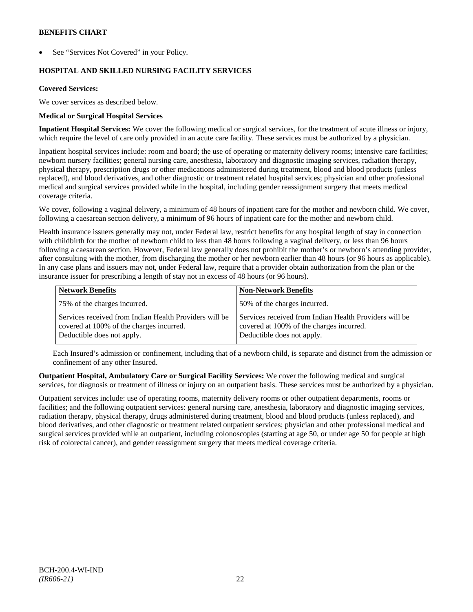See "Services Not Covered" in your Policy.

# **HOSPITAL AND SKILLED NURSING FACILITY SERVICES**

#### **Covered Services:**

We cover services as described below.

#### **Medical or Surgical Hospital Services**

**Inpatient Hospital Services:** We cover the following medical or surgical services, for the treatment of acute illness or injury, which require the level of care only provided in an acute care facility. These services must be authorized by a physician.

Inpatient hospital services include: room and board; the use of operating or maternity delivery rooms; intensive care facilities; newborn nursery facilities; general nursing care, anesthesia, laboratory and diagnostic imaging services, radiation therapy, physical therapy, prescription drugs or other medications administered during treatment, blood and blood products (unless replaced), and blood derivatives, and other diagnostic or treatment related hospital services; physician and other professional medical and surgical services provided while in the hospital, including gender reassignment surgery that meets medical coverage criteria.

We cover, following a vaginal delivery, a minimum of 48 hours of inpatient care for the mother and newborn child. We cover, following a caesarean section delivery, a minimum of 96 hours of inpatient care for the mother and newborn child.

Health insurance issuers generally may not, under Federal law, restrict benefits for any hospital length of stay in connection with childbirth for the mother of newborn child to less than 48 hours following a vaginal delivery, or less than 96 hours following a caesarean section. However, Federal law generally does not prohibit the mother's or newborn's attending provider, after consulting with the mother, from discharging the mother or her newborn earlier than 48 hours (or 96 hours as applicable). In any case plans and issuers may not, under Federal law, require that a provider obtain authorization from the plan or the insurance issuer for prescribing a length of stay not in excess of 48 hours (or 96 hours).

| <b>Network Benefits</b>                                                                                                          | <b>Non-Network Benefits</b>                                                                                                      |
|----------------------------------------------------------------------------------------------------------------------------------|----------------------------------------------------------------------------------------------------------------------------------|
| 75% of the charges incurred.                                                                                                     | 50% of the charges incurred.                                                                                                     |
| Services received from Indian Health Providers will be<br>covered at 100% of the charges incurred.<br>Deductible does not apply. | Services received from Indian Health Providers will be<br>covered at 100% of the charges incurred.<br>Deductible does not apply. |

Each Insured's admission or confinement, including that of a newborn child, is separate and distinct from the admission or confinement of any other Insured.

**Outpatient Hospital, Ambulatory Care or Surgical Facility Services:** We cover the following medical and surgical services, for diagnosis or treatment of illness or injury on an outpatient basis. These services must be authorized by a physician.

Outpatient services include: use of operating rooms, maternity delivery rooms or other outpatient departments, rooms or facilities; and the following outpatient services: general nursing care, anesthesia, laboratory and diagnostic imaging services, radiation therapy, physical therapy, drugs administered during treatment, blood and blood products (unless replaced), and blood derivatives, and other diagnostic or treatment related outpatient services; physician and other professional medical and surgical services provided while an outpatient, including colonoscopies (starting at age 50, or under age 50 for people at high risk of colorectal cancer), and gender reassignment surgery that meets medical coverage criteria.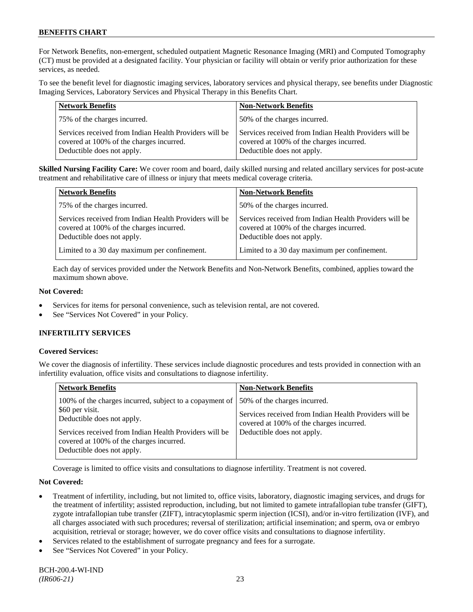For Network Benefits, non-emergent, scheduled outpatient Magnetic Resonance Imaging (MRI) and Computed Tomography (CT) must be provided at a designated facility. Your physician or facility will obtain or verify prior authorization for these services, as needed.

To see the benefit level for diagnostic imaging services, laboratory services and physical therapy, see benefits under Diagnostic Imaging Services, Laboratory Services and Physical Therapy in this Benefits Chart.

| <b>Network Benefits</b>                                                                                                          | <b>Non-Network Benefits</b>                                                                                                      |
|----------------------------------------------------------------------------------------------------------------------------------|----------------------------------------------------------------------------------------------------------------------------------|
| 75% of the charges incurred.                                                                                                     | 50% of the charges incurred.                                                                                                     |
| Services received from Indian Health Providers will be<br>covered at 100% of the charges incurred.<br>Deductible does not apply. | Services received from Indian Health Providers will be<br>covered at 100% of the charges incurred.<br>Deductible does not apply. |

**Skilled Nursing Facility Care:** We cover room and board, daily skilled nursing and related ancillary services for post-acute treatment and rehabilitative care of illness or injury that meets medical coverage criteria.

| <b>Network Benefits</b>                                                                                                          | <b>Non-Network Benefits</b>                                                                                                      |
|----------------------------------------------------------------------------------------------------------------------------------|----------------------------------------------------------------------------------------------------------------------------------|
| 75% of the charges incurred.                                                                                                     | 50% of the charges incurred.                                                                                                     |
| Services received from Indian Health Providers will be<br>covered at 100% of the charges incurred.<br>Deductible does not apply. | Services received from Indian Health Providers will be<br>covered at 100% of the charges incurred.<br>Deductible does not apply. |
| Limited to a 30 day maximum per confinement.                                                                                     | Limited to a 30 day maximum per confinement.                                                                                     |

Each day of services provided under the Network Benefits and Non-Network Benefits, combined, applies toward the maximum shown above.

## **Not Covered:**

- Services for items for personal convenience, such as television rental, are not covered.
- See "Services Not Covered" in your Policy.

# **INFERTILITY SERVICES**

## **Covered Services:**

We cover the diagnosis of infertility. These services include diagnostic procedures and tests provided in connection with an infertility evaluation, office visits and consultations to diagnose infertility.

| <b>Network Benefits</b> |                                                                                                                                                                                                                           | <b>Non-Network Benefits</b>                                                                                                                                      |
|-------------------------|---------------------------------------------------------------------------------------------------------------------------------------------------------------------------------------------------------------------------|------------------------------------------------------------------------------------------------------------------------------------------------------------------|
| \$60 per visit.         | 100% of the charges incurred, subject to a copayment of<br>Deductible does not apply.<br>Services received from Indian Health Providers will be<br>covered at 100% of the charges incurred.<br>Deductible does not apply. | 50% of the charges incurred.<br>Services received from Indian Health Providers will be<br>covered at 100% of the charges incurred.<br>Deductible does not apply. |
|                         |                                                                                                                                                                                                                           |                                                                                                                                                                  |

Coverage is limited to office visits and consultations to diagnose infertility. Treatment is not covered.

## **Not Covered:**

- Treatment of infertility, including, but not limited to, office visits, laboratory, diagnostic imaging services, and drugs for the treatment of infertility; assisted reproduction, including, but not limited to gamete intrafallopian tube transfer (GIFT), zygote intrafallopian tube transfer (ZIFT), intracytoplasmic sperm injection (ICSI), and/or in-vitro fertilization (IVF), and all charges associated with such procedures; reversal of sterilization; artificial insemination; and sperm, ova or embryo acquisition, retrieval or storage; however, we do cover office visits and consultations to diagnose infertility.
- Services related to the establishment of surrogate pregnancy and fees for a surrogate.
- See "Services Not Covered" in your Policy.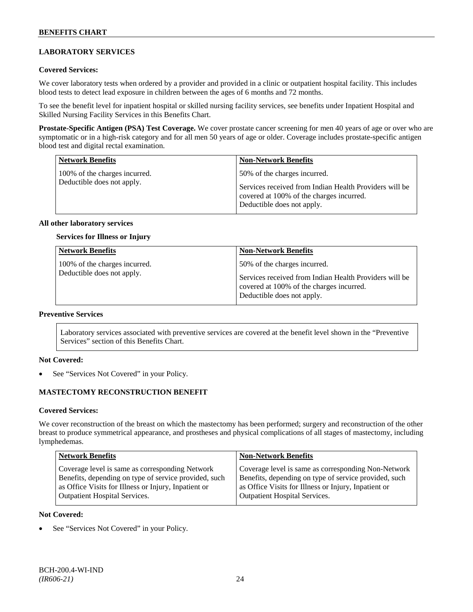# **LABORATORY SERVICES**

#### **Covered Services:**

We cover laboratory tests when ordered by a provider and provided in a clinic or outpatient hospital facility. This includes blood tests to detect lead exposure in children between the ages of 6 months and 72 months.

To see the benefit level for inpatient hospital or skilled nursing facility services, see benefits under Inpatient Hospital and Skilled Nursing Facility Services in this Benefits Chart.

**Prostate-Specific Antigen (PSA) Test Coverage.** We cover prostate cancer screening for men 40 years of age or over who are symptomatic or in a high-risk category and for all men 50 years of age or older. Coverage includes prostate-specific antigen blood test and digital rectal examination.

| <b>Network Benefits</b>                                     | <b>Non-Network Benefits</b>                                                                                                                                      |
|-------------------------------------------------------------|------------------------------------------------------------------------------------------------------------------------------------------------------------------|
| 100% of the charges incurred.<br>Deductible does not apply. | 50% of the charges incurred.<br>Services received from Indian Health Providers will be<br>covered at 100% of the charges incurred.<br>Deductible does not apply. |

#### **All other laboratory services**

### **Services for Illness or Injury**

| <b>Network Benefits</b>                                     | <b>Non-Network Benefits</b>                                                                                                                                      |
|-------------------------------------------------------------|------------------------------------------------------------------------------------------------------------------------------------------------------------------|
| 100% of the charges incurred.<br>Deductible does not apply. | 50% of the charges incurred.<br>Services received from Indian Health Providers will be<br>covered at 100% of the charges incurred.<br>Deductible does not apply. |

## **Preventive Services**

Laboratory services associated with preventive services are covered at the benefit level shown in the "Preventive Services" section of this Benefits Chart.

#### **Not Covered:**

See "Services Not Covered" in your Policy.

## **MASTECTOMY RECONSTRUCTION BENEFIT**

#### **Covered Services:**

We cover reconstruction of the breast on which the mastectomy has been performed; surgery and reconstruction of the other breast to produce symmetrical appearance, and prostheses and physical complications of all stages of mastectomy, including lymphedemas.

| <b>Network Benefits</b>                               | <b>Non-Network Benefits</b>                           |
|-------------------------------------------------------|-------------------------------------------------------|
| Coverage level is same as corresponding Network       | Coverage level is same as corresponding Non-Network   |
| Benefits, depending on type of service provided, such | Benefits, depending on type of service provided, such |
| as Office Visits for Illness or Injury, Inpatient or  | as Office Visits for Illness or Injury, Inpatient or  |
| <b>Outpatient Hospital Services.</b>                  | <b>Outpatient Hospital Services.</b>                  |

#### **Not Covered:**

See "Services Not Covered" in your Policy.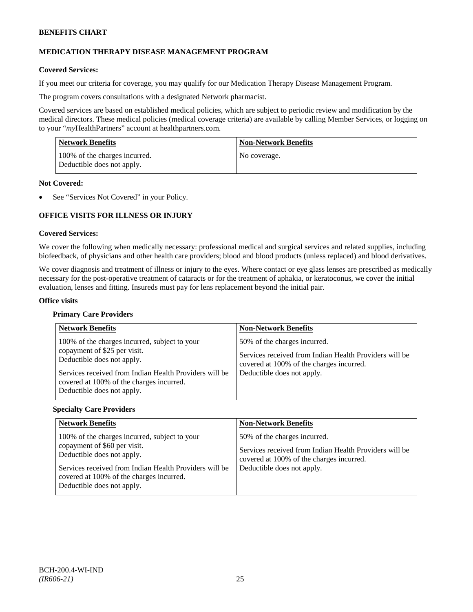# **MEDICATION THERAPY DISEASE MANAGEMENT PROGRAM**

### **Covered Services:**

If you meet our criteria for coverage, you may qualify for our Medication Therapy Disease Management Program.

The program covers consultations with a designated Network pharmacist.

Covered services are based on established medical policies, which are subject to periodic review and modification by the medical directors. These medical policies (medical coverage criteria) are available by calling Member Services, or logging on to your "*my*HealthPartners" account at [healthpartners.com.](http://www.healthpartners.com/)

| <b>Network Benefits</b>                                     | <b>Non-Network Benefits</b> |
|-------------------------------------------------------------|-----------------------------|
| 100% of the charges incurred.<br>Deductible does not apply. | No coverage.                |

#### **Not Covered:**

See "Services Not Covered" in your Policy.

# **OFFICE VISITS FOR ILLNESS OR INJURY**

#### **Covered Services:**

We cover the following when medically necessary: professional medical and surgical services and related supplies, including biofeedback, of physicians and other health care providers; blood and blood products (unless replaced) and blood derivatives.

We cover diagnosis and treatment of illness or injury to the eyes. Where contact or eye glass lenses are prescribed as medically necessary for the post-operative treatment of cataracts or for the treatment of aphakia, or keratoconus, we cover the initial evaluation, lenses and fitting. Insureds must pay for lens replacement beyond the initial pair.

#### **Office visits**

## **Primary Care Providers**

| <b>Network Benefits</b>                                                                                                                                                                                                                         | <b>Non-Network Benefits</b>                                                                                                                                      |
|-------------------------------------------------------------------------------------------------------------------------------------------------------------------------------------------------------------------------------------------------|------------------------------------------------------------------------------------------------------------------------------------------------------------------|
| 100% of the charges incurred, subject to your<br>copayment of \$25 per visit.<br>Deductible does not apply.<br>Services received from Indian Health Providers will be<br>covered at 100% of the charges incurred.<br>Deductible does not apply. | 50% of the charges incurred.<br>Services received from Indian Health Providers will be<br>covered at 100% of the charges incurred.<br>Deductible does not apply. |

#### **Specialty Care Providers**

| <b>Network Benefits</b>                                                                                                                                                                                                                         | <b>Non-Network Benefits</b>                                                                                                                                      |
|-------------------------------------------------------------------------------------------------------------------------------------------------------------------------------------------------------------------------------------------------|------------------------------------------------------------------------------------------------------------------------------------------------------------------|
| 100% of the charges incurred, subject to your<br>copayment of \$60 per visit.<br>Deductible does not apply.<br>Services received from Indian Health Providers will be<br>covered at 100% of the charges incurred.<br>Deductible does not apply. | 50% of the charges incurred.<br>Services received from Indian Health Providers will be<br>covered at 100% of the charges incurred.<br>Deductible does not apply. |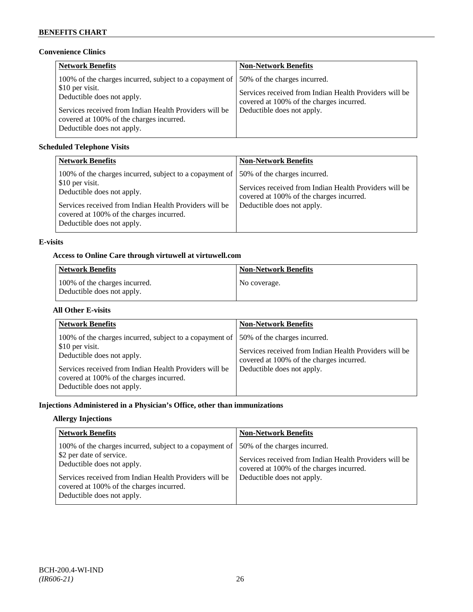# **Convenience Clinics**

| <b>Network Benefits</b>                                                                                                                                                                                                                      | <b>Non-Network Benefits</b>                                                                                                                                      |
|----------------------------------------------------------------------------------------------------------------------------------------------------------------------------------------------------------------------------------------------|------------------------------------------------------------------------------------------------------------------------------------------------------------------|
| 100% of the charges incurred, subject to a copayment of<br>\$10 per visit.<br>Deductible does not apply.<br>Services received from Indian Health Providers will be<br>covered at 100% of the charges incurred.<br>Deductible does not apply. | 50% of the charges incurred.<br>Services received from Indian Health Providers will be<br>covered at 100% of the charges incurred.<br>Deductible does not apply. |

# **Scheduled Telephone Visits**

| <b>Network Benefits</b>                                                                                                                                                                                                                      | <b>Non-Network Benefits</b>                                                                                                                                      |
|----------------------------------------------------------------------------------------------------------------------------------------------------------------------------------------------------------------------------------------------|------------------------------------------------------------------------------------------------------------------------------------------------------------------|
| 100% of the charges incurred, subject to a copayment of<br>\$10 per visit.<br>Deductible does not apply.<br>Services received from Indian Health Providers will be<br>covered at 100% of the charges incurred.<br>Deductible does not apply. | 50% of the charges incurred.<br>Services received from Indian Health Providers will be<br>covered at 100% of the charges incurred.<br>Deductible does not apply. |

# **E-visits**

# **Access to Online Care through virtuwell a[t virtuwell.com](http://www.virtuwell.com/)**

| Network Benefits                                            | <b>Non-Network Benefits</b> |
|-------------------------------------------------------------|-----------------------------|
| 100% of the charges incurred.<br>Deductible does not apply. | No coverage.                |

# **All Other E-visits**

| <b>Network Benefits</b>                                                                                                                                                                                                                      | <b>Non-Network Benefits</b>                                                                                                                                      |
|----------------------------------------------------------------------------------------------------------------------------------------------------------------------------------------------------------------------------------------------|------------------------------------------------------------------------------------------------------------------------------------------------------------------|
| 100% of the charges incurred, subject to a copayment of<br>\$10 per visit.<br>Deductible does not apply.<br>Services received from Indian Health Providers will be<br>covered at 100% of the charges incurred.<br>Deductible does not apply. | 50% of the charges incurred.<br>Services received from Indian Health Providers will be<br>covered at 100% of the charges incurred.<br>Deductible does not apply. |

# **Injections Administered in a Physician's Office, other than immunizations**

# **Allergy Injections**

| <b>Network Benefits</b>                                                                                                                                                                                                                               | <b>Non-Network Benefits</b>                                                                                                                                      |
|-------------------------------------------------------------------------------------------------------------------------------------------------------------------------------------------------------------------------------------------------------|------------------------------------------------------------------------------------------------------------------------------------------------------------------|
| 100% of the charges incurred, subject to a copayment of<br>\$2 per date of service.<br>Deductible does not apply.<br>Services received from Indian Health Providers will be<br>covered at 100% of the charges incurred.<br>Deductible does not apply. | 50% of the charges incurred.<br>Services received from Indian Health Providers will be<br>covered at 100% of the charges incurred.<br>Deductible does not apply. |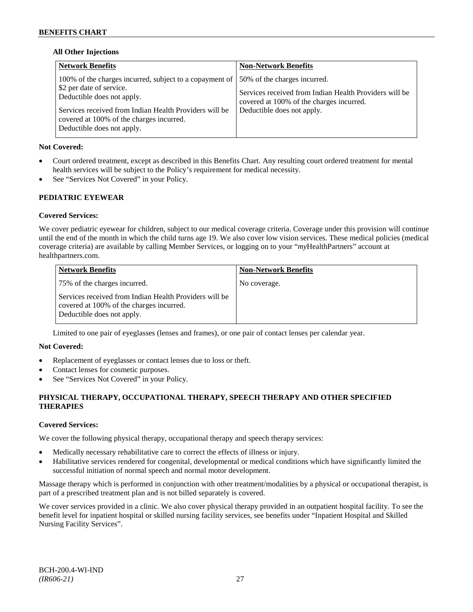## **All Other Injections**

| <b>Network Benefits</b>                                                                                                                                                                                                                               | <b>Non-Network Benefits</b>                                                                                                                                      |
|-------------------------------------------------------------------------------------------------------------------------------------------------------------------------------------------------------------------------------------------------------|------------------------------------------------------------------------------------------------------------------------------------------------------------------|
| 100% of the charges incurred, subject to a copayment of<br>\$2 per date of service.<br>Deductible does not apply.<br>Services received from Indian Health Providers will be<br>covered at 100% of the charges incurred.<br>Deductible does not apply. | 50% of the charges incurred.<br>Services received from Indian Health Providers will be<br>covered at 100% of the charges incurred.<br>Deductible does not apply. |

# **Not Covered:**

- Court ordered treatment, except as described in this Benefits Chart. Any resulting court ordered treatment for mental health services will be subject to the Policy's requirement for medical necessity.
- See "Services Not Covered" in your Policy.

# **PEDIATRIC EYEWEAR**

# **Covered Services:**

We cover pediatric eyewear for children, subject to our medical coverage criteria. Coverage under this provision will continue until the end of the month in which the child turns age 19. We also cover low vision services. These medical policies (medical coverage criteria) are available by calling Member Services, or logging on to your "*my*HealthPartners" account at [healthpartners.com.](http://www.healthpartners.com/)

| <b>Network Benefits</b>                                                                                                          | <b>Non-Network Benefits</b> |
|----------------------------------------------------------------------------------------------------------------------------------|-----------------------------|
| 75% of the charges incurred.                                                                                                     | No coverage.                |
| Services received from Indian Health Providers will be<br>covered at 100% of the charges incurred.<br>Deductible does not apply. |                             |

Limited to one pair of eyeglasses (lenses and frames), or one pair of contact lenses per calendar year.

## **Not Covered:**

- Replacement of eyeglasses or contact lenses due to loss or theft.
- Contact lenses for cosmetic purposes.
- See "Services Not Covered" in your Policy.

# **PHYSICAL THERAPY, OCCUPATIONAL THERAPY, SPEECH THERAPY AND OTHER SPECIFIED THERAPIES**

## **Covered Services:**

We cover the following physical therapy, occupational therapy and speech therapy services:

- Medically necessary rehabilitative care to correct the effects of illness or injury.
- Habilitative services rendered for congenital, developmental or medical conditions which have significantly limited the successful initiation of normal speech and normal motor development.

Massage therapy which is performed in conjunction with other treatment/modalities by a physical or occupational therapist, is part of a prescribed treatment plan and is not billed separately is covered.

We cover services provided in a clinic. We also cover physical therapy provided in an outpatient hospital facility. To see the benefit level for inpatient hospital or skilled nursing facility services, see benefits under "Inpatient Hospital and Skilled Nursing Facility Services".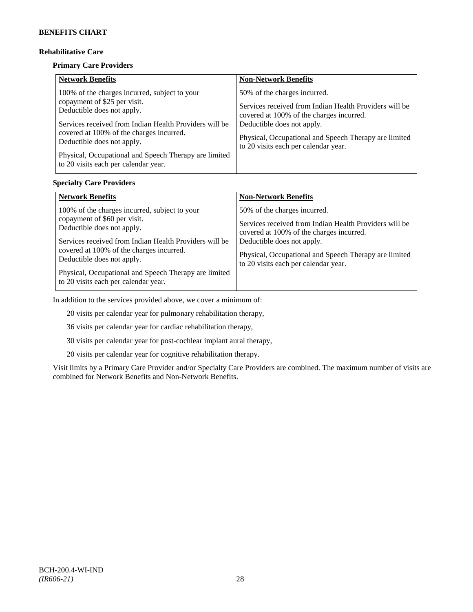# **Rehabilitative Care**

#### **Primary Care Providers**

| <b>Network Benefits</b>                                                                                                                                                                                                                                                                                                                          | <b>Non-Network Benefits</b>                                                                                                                                                                                                                                       |
|--------------------------------------------------------------------------------------------------------------------------------------------------------------------------------------------------------------------------------------------------------------------------------------------------------------------------------------------------|-------------------------------------------------------------------------------------------------------------------------------------------------------------------------------------------------------------------------------------------------------------------|
| 100% of the charges incurred, subject to your<br>copayment of \$25 per visit.<br>Deductible does not apply.<br>Services received from Indian Health Providers will be<br>covered at 100% of the charges incurred.<br>Deductible does not apply.<br>Physical, Occupational and Speech Therapy are limited<br>to 20 visits each per calendar year. | 50% of the charges incurred.<br>Services received from Indian Health Providers will be<br>covered at 100% of the charges incurred.<br>Deductible does not apply.<br>Physical, Occupational and Speech Therapy are limited<br>to 20 visits each per calendar year. |

## **Specialty Care Providers**

| <b>Network Benefits</b>                                                                                                                                                                                                                                                                                                                          | <b>Non-Network Benefits</b>                                                                                                                                                                                                                                       |
|--------------------------------------------------------------------------------------------------------------------------------------------------------------------------------------------------------------------------------------------------------------------------------------------------------------------------------------------------|-------------------------------------------------------------------------------------------------------------------------------------------------------------------------------------------------------------------------------------------------------------------|
| 100% of the charges incurred, subject to your<br>copayment of \$60 per visit.<br>Deductible does not apply.<br>Services received from Indian Health Providers will be<br>covered at 100% of the charges incurred.<br>Deductible does not apply.<br>Physical, Occupational and Speech Therapy are limited<br>to 20 visits each per calendar year. | 50% of the charges incurred.<br>Services received from Indian Health Providers will be<br>covered at 100% of the charges incurred.<br>Deductible does not apply.<br>Physical, Occupational and Speech Therapy are limited<br>to 20 visits each per calendar year. |

In addition to the services provided above, we cover a minimum of:

20 visits per calendar year for pulmonary rehabilitation therapy,

36 visits per calendar year for cardiac rehabilitation therapy,

30 visits per calendar year for post-cochlear implant aural therapy,

20 visits per calendar year for cognitive rehabilitation therapy.

Visit limits by a Primary Care Provider and/or Specialty Care Providers are combined. The maximum number of visits are combined for Network Benefits and Non-Network Benefits.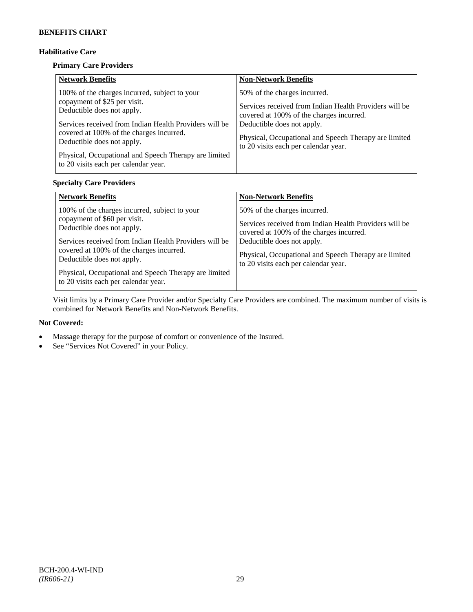# **Habilitative Care**

# **Primary Care Providers**

| <b>Network Benefits</b>                                                                                                                                                                                                                                                                                                                          | <b>Non-Network Benefits</b>                                                                                                                                                                                                                                       |
|--------------------------------------------------------------------------------------------------------------------------------------------------------------------------------------------------------------------------------------------------------------------------------------------------------------------------------------------------|-------------------------------------------------------------------------------------------------------------------------------------------------------------------------------------------------------------------------------------------------------------------|
| 100% of the charges incurred, subject to your<br>copayment of \$25 per visit.<br>Deductible does not apply.<br>Services received from Indian Health Providers will be<br>covered at 100% of the charges incurred.<br>Deductible does not apply.<br>Physical, Occupational and Speech Therapy are limited<br>to 20 visits each per calendar year. | 50% of the charges incurred.<br>Services received from Indian Health Providers will be<br>covered at 100% of the charges incurred.<br>Deductible does not apply.<br>Physical, Occupational and Speech Therapy are limited<br>to 20 visits each per calendar year. |

# **Specialty Care Providers**

| <b>Network Benefits</b>                                                                                                                                                                                                                                                                                                                          | <b>Non-Network Benefits</b>                                                                                                                                                                                                                                       |
|--------------------------------------------------------------------------------------------------------------------------------------------------------------------------------------------------------------------------------------------------------------------------------------------------------------------------------------------------|-------------------------------------------------------------------------------------------------------------------------------------------------------------------------------------------------------------------------------------------------------------------|
| 100% of the charges incurred, subject to your<br>copayment of \$60 per visit.<br>Deductible does not apply.<br>Services received from Indian Health Providers will be<br>covered at 100% of the charges incurred.<br>Deductible does not apply.<br>Physical, Occupational and Speech Therapy are limited<br>to 20 visits each per calendar year. | 50% of the charges incurred.<br>Services received from Indian Health Providers will be<br>covered at 100% of the charges incurred.<br>Deductible does not apply.<br>Physical, Occupational and Speech Therapy are limited<br>to 20 visits each per calendar year. |

Visit limits by a Primary Care Provider and/or Specialty Care Providers are combined. The maximum number of visits is combined for Network Benefits and Non-Network Benefits.

## **Not Covered:**

- Massage therapy for the purpose of comfort or convenience of the Insured.
- See "Services Not Covered" in your Policy.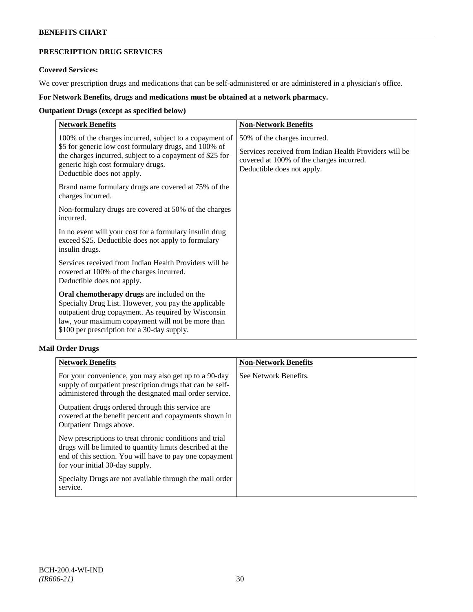# **PRESCRIPTION DRUG SERVICES**

### **Covered Services:**

We cover prescription drugs and medications that can be self-administered or are administered in a physician's office.

# **For Network Benefits, drugs and medications must be obtained at a network pharmacy.**

# **Outpatient Drugs (except as specified below)**

| <b>Network Benefits</b>                                                                                                                                                                                                                                        | <b>Non-Network Benefits</b>                                                                                                                                      |
|----------------------------------------------------------------------------------------------------------------------------------------------------------------------------------------------------------------------------------------------------------------|------------------------------------------------------------------------------------------------------------------------------------------------------------------|
| 100% of the charges incurred, subject to a copayment of<br>\$5 for generic low cost formulary drugs, and 100% of<br>the charges incurred, subject to a copayment of \$25 for<br>generic high cost formulary drugs.<br>Deductible does not apply.               | 50% of the charges incurred.<br>Services received from Indian Health Providers will be<br>covered at 100% of the charges incurred.<br>Deductible does not apply. |
| Brand name formulary drugs are covered at 75% of the<br>charges incurred.                                                                                                                                                                                      |                                                                                                                                                                  |
| Non-formulary drugs are covered at 50% of the charges<br>incurred.                                                                                                                                                                                             |                                                                                                                                                                  |
| In no event will your cost for a formulary insulin drug<br>exceed \$25. Deductible does not apply to formulary<br>insulin drugs.                                                                                                                               |                                                                                                                                                                  |
| Services received from Indian Health Providers will be<br>covered at 100% of the charges incurred.<br>Deductible does not apply.                                                                                                                               |                                                                                                                                                                  |
| Oral chemotherapy drugs are included on the<br>Specialty Drug List. However, you pay the applicable<br>outpatient drug copayment. As required by Wisconsin<br>law, your maximum copayment will not be more than<br>\$100 per prescription for a 30-day supply. |                                                                                                                                                                  |

# **Mail Order Drugs**

| <b>Network Benefits</b>                                                                                                                                                                                            | <b>Non-Network Benefits</b> |
|--------------------------------------------------------------------------------------------------------------------------------------------------------------------------------------------------------------------|-----------------------------|
| For your convenience, you may also get up to a 90-day<br>supply of outpatient prescription drugs that can be self-<br>administered through the designated mail order service.                                      | See Network Benefits.       |
| Outpatient drugs ordered through this service are<br>covered at the benefit percent and copayments shown in<br>Outpatient Drugs above.                                                                             |                             |
| New prescriptions to treat chronic conditions and trial<br>drugs will be limited to quantity limits described at the<br>end of this section. You will have to pay one copayment<br>for your initial 30-day supply. |                             |
| Specialty Drugs are not available through the mail order<br>service.                                                                                                                                               |                             |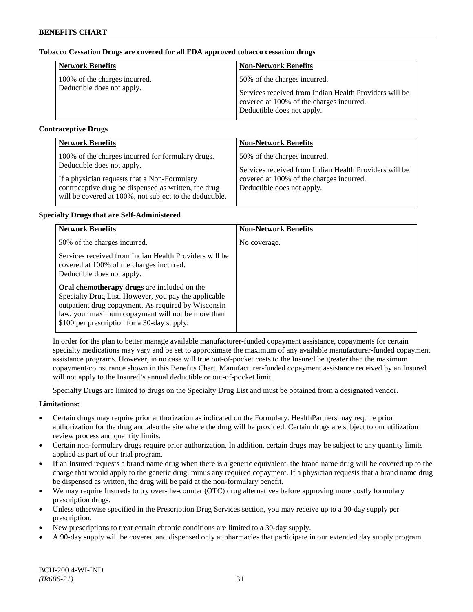## **Tobacco Cessation Drugs are covered for all FDA approved tobacco cessation drugs**

| <b>Network Benefits</b>       | <b>Non-Network Benefits</b>                                                                                                      |
|-------------------------------|----------------------------------------------------------------------------------------------------------------------------------|
| 100% of the charges incurred. | 50% of the charges incurred.                                                                                                     |
| Deductible does not apply.    | Services received from Indian Health Providers will be<br>covered at 100% of the charges incurred.<br>Deductible does not apply. |

## **Contraceptive Drugs**

| <b>Network Benefits</b>                                 | <b>Non-Network Benefits</b>                            |
|---------------------------------------------------------|--------------------------------------------------------|
| 100% of the charges incurred for formulary drugs.       | 50% of the charges incurred.                           |
| Deductible does not apply.                              | Services received from Indian Health Providers will be |
| If a physician requests that a Non-Formulary            | covered at 100% of the charges incurred.               |
| contraceptive drug be dispensed as written, the drug    | Deductible does not apply.                             |
| will be covered at 100%, not subject to the deductible. |                                                        |

## **Specialty Drugs that are Self-Administered**

| <b>Network Benefits</b>                                                                                                                                                                                                                                                                                                                                                                            | <b>Non-Network Benefits</b> |
|----------------------------------------------------------------------------------------------------------------------------------------------------------------------------------------------------------------------------------------------------------------------------------------------------------------------------------------------------------------------------------------------------|-----------------------------|
| 50% of the charges incurred.                                                                                                                                                                                                                                                                                                                                                                       | No coverage.                |
| Services received from Indian Health Providers will be<br>covered at 100% of the charges incurred.<br>Deductible does not apply.<br>Oral chemotherapy drugs are included on the<br>Specialty Drug List. However, you pay the applicable<br>outpatient drug copayment. As required by Wisconsin<br>law, your maximum copayment will not be more than<br>\$100 per prescription for a 30-day supply. |                             |

In order for the plan to better manage available manufacturer-funded copayment assistance, copayments for certain specialty medications may vary and be set to approximate the maximum of any available manufacturer-funded copayment assistance programs. However, in no case will true out-of-pocket costs to the Insured be greater than the maximum copayment/coinsurance shown in this Benefits Chart. Manufacturer-funded copayment assistance received by an Insured will not apply to the Insured's annual deductible or out-of-pocket limit.

Specialty Drugs are limited to drugs on the Specialty Drug List and must be obtained from a designated vendor.

## **Limitations:**

- Certain drugs may require prior authorization as indicated on the Formulary. HealthPartners may require prior authorization for the drug and also the site where the drug will be provided. Certain drugs are subject to our utilization review process and quantity limits.
- Certain non-formulary drugs require prior authorization. In addition, certain drugs may be subject to any quantity limits applied as part of our trial program.
- If an Insured requests a brand name drug when there is a generic equivalent, the brand name drug will be covered up to the charge that would apply to the generic drug, minus any required copayment. If a physician requests that a brand name drug be dispensed as written, the drug will be paid at the non-formulary benefit.
- We may require Insureds to try over-the-counter (OTC) drug alternatives before approving more costly formulary prescription drugs.
- Unless otherwise specified in the Prescription Drug Services section, you may receive up to a 30-day supply per prescription.
- New prescriptions to treat certain chronic conditions are limited to a 30-day supply.
- A 90-day supply will be covered and dispensed only at pharmacies that participate in our extended day supply program.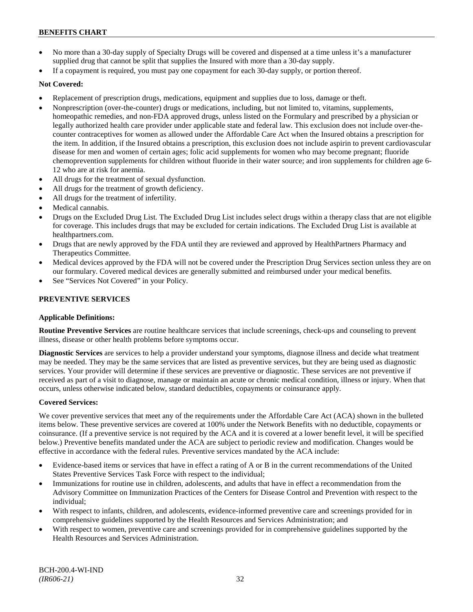- No more than a 30-day supply of Specialty Drugs will be covered and dispensed at a time unless it's a manufacturer supplied drug that cannot be split that supplies the Insured with more than a 30-day supply.
- If a copayment is required, you must pay one copayment for each 30-day supply, or portion thereof.

## **Not Covered:**

- Replacement of prescription drugs, medications, equipment and supplies due to loss, damage or theft.
- Nonprescription (over-the-counter) drugs or medications, including, but not limited to, vitamins, supplements, homeopathic remedies, and non-FDA approved drugs, unless listed on the Formulary and prescribed by a physician or legally authorized health care provider under applicable state and federal law. This exclusion does not include over-thecounter contraceptives for women as allowed under the Affordable Care Act when the Insured obtains a prescription for the item. In addition, if the Insured obtains a prescription, this exclusion does not include aspirin to prevent cardiovascular disease for men and women of certain ages; folic acid supplements for women who may become pregnant; fluoride chemoprevention supplements for children without fluoride in their water source; and iron supplements for children age 6- 12 who are at risk for anemia.
- All drugs for the treatment of sexual dysfunction.
- All drugs for the treatment of growth deficiency.
- All drugs for the treatment of infertility.
- Medical cannabis.
- Drugs on the Excluded Drug List. The Excluded Drug List includes select drugs within a therapy class that are not eligible for coverage. This includes drugs that may be excluded for certain indications. The Excluded Drug List is available at [healthpartners.com.](http://www.healthpartners.com/)
- Drugs that are newly approved by the FDA until they are reviewed and approved by HealthPartners Pharmacy and Therapeutics Committee.
- Medical devices approved by the FDA will not be covered under the Prescription Drug Services section unless they are on our formulary. Covered medical devices are generally submitted and reimbursed under your medical benefits.
- See "Services Not Covered" in your Policy.

# **PREVENTIVE SERVICES**

## **Applicable Definitions:**

**Routine Preventive Services** are routine healthcare services that include screenings, check-ups and counseling to prevent illness, disease or other health problems before symptoms occur.

**Diagnostic Services** are services to help a provider understand your symptoms, diagnose illness and decide what treatment may be needed. They may be the same services that are listed as preventive services, but they are being used as diagnostic services. Your provider will determine if these services are preventive or diagnostic. These services are not preventive if received as part of a visit to diagnose, manage or maintain an acute or chronic medical condition, illness or injury. When that occurs, unless otherwise indicated below, standard deductibles, copayments or coinsurance apply.

## **Covered Services:**

We cover preventive services that meet any of the requirements under the Affordable Care Act (ACA) shown in the bulleted items below. These preventive services are covered at 100% under the Network Benefits with no deductible, copayments or coinsurance. (If a preventive service is not required by the ACA and it is covered at a lower benefit level, it will be specified below.) Preventive benefits mandated under the ACA are subject to periodic review and modification. Changes would be effective in accordance with the federal rules. Preventive services mandated by the ACA include:

- Evidence-based items or services that have in effect a rating of A or B in the current recommendations of the United States Preventive Services Task Force with respect to the individual;
- Immunizations for routine use in children, adolescents, and adults that have in effect a recommendation from the Advisory Committee on Immunization Practices of the Centers for Disease Control and Prevention with respect to the individual;
- With respect to infants, children, and adolescents, evidence-informed preventive care and screenings provided for in comprehensive guidelines supported by the Health Resources and Services Administration; and
- With respect to women, preventive care and screenings provided for in comprehensive guidelines supported by the Health Resources and Services Administration.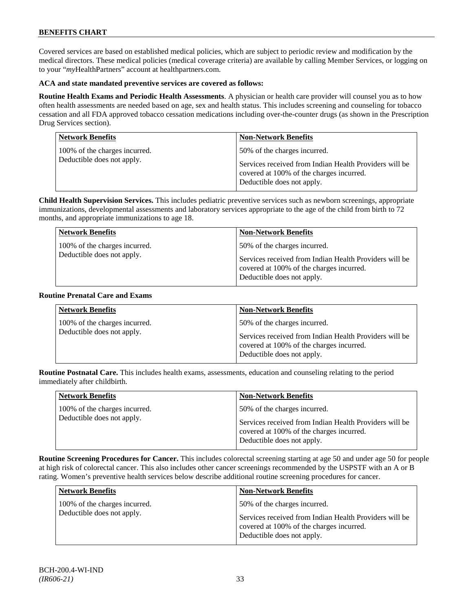Covered services are based on established medical policies, which are subject to periodic review and modification by the medical directors. These medical policies (medical coverage criteria) are available by calling Member Services, or logging on to your "*my*HealthPartners" account at [healthpartners.com.](http://www.healthpartners.com/)

## **ACA and state mandated preventive services are covered as follows:**

**Routine Health Exams and Periodic Health Assessments**. A physician or health care provider will counsel you as to how often health assessments are needed based on age, sex and health status. This includes screening and counseling for tobacco cessation and all FDA approved tobacco cessation medications including over-the-counter drugs (as shown in the Prescription Drug Services section).

| <b>Network Benefits</b>       | <b>Non-Network Benefits</b>                                                                                                      |
|-------------------------------|----------------------------------------------------------------------------------------------------------------------------------|
| 100% of the charges incurred. | 50% of the charges incurred.                                                                                                     |
| Deductible does not apply.    | Services received from Indian Health Providers will be<br>covered at 100% of the charges incurred.<br>Deductible does not apply. |

**Child Health Supervision Services.** This includes pediatric preventive services such as newborn screenings, appropriate immunizations, developmental assessments and laboratory services appropriate to the age of the child from birth to 72 months, and appropriate immunizations to age 18.

| <b>Network Benefits</b>                                     | <b>Non-Network Benefits</b>                                                                                                        |
|-------------------------------------------------------------|------------------------------------------------------------------------------------------------------------------------------------|
| 100% of the charges incurred.<br>Deductible does not apply. | 50% of the charges incurred.<br>Services received from Indian Health Providers will be<br>covered at 100% of the charges incurred. |
|                                                             | Deductible does not apply.                                                                                                         |

#### **Routine Prenatal Care and Exams**

| <b>Network Benefits</b>                                     | <b>Non-Network Benefits</b>                                                                                                                                      |
|-------------------------------------------------------------|------------------------------------------------------------------------------------------------------------------------------------------------------------------|
| 100% of the charges incurred.<br>Deductible does not apply. | 50% of the charges incurred.<br>Services received from Indian Health Providers will be<br>covered at 100% of the charges incurred.<br>Deductible does not apply. |

**Routine Postnatal Care.** This includes health exams, assessments, education and counseling relating to the period immediately after childbirth.

| <b>Network Benefits</b>                                     | <b>Non-Network Benefits</b>                                                                                                                                      |
|-------------------------------------------------------------|------------------------------------------------------------------------------------------------------------------------------------------------------------------|
| 100% of the charges incurred.<br>Deductible does not apply. | 50% of the charges incurred.<br>Services received from Indian Health Providers will be<br>covered at 100% of the charges incurred.<br>Deductible does not apply. |

**Routine Screening Procedures for Cancer.** This includes colorectal screening starting at age 50 and under age 50 for people at high risk of colorectal cancer. This also includes other cancer screenings recommended by the USPSTF with an A or B rating. Women's preventive health services below describe additional routine screening procedures for cancer.

| <b>Network Benefits</b>       | <b>Non-Network Benefits</b>                                                                                                      |
|-------------------------------|----------------------------------------------------------------------------------------------------------------------------------|
| 100% of the charges incurred. | 50% of the charges incurred.                                                                                                     |
| Deductible does not apply.    | Services received from Indian Health Providers will be<br>covered at 100% of the charges incurred.<br>Deductible does not apply. |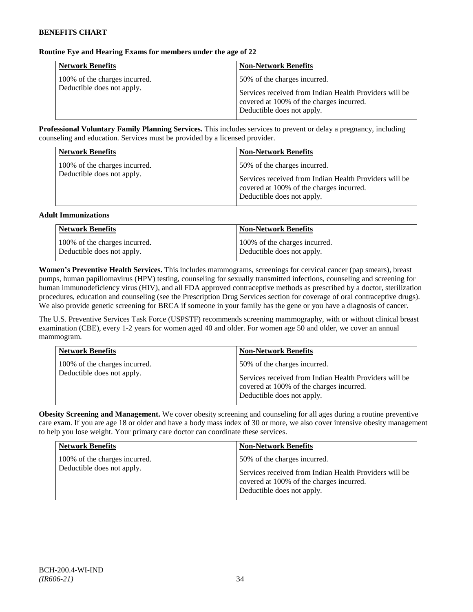## **Routine Eye and Hearing Exams for members under the age of 22**

| <b>Network Benefits</b>                                     | <b>Non-Network Benefits</b>                                                                                                                                      |
|-------------------------------------------------------------|------------------------------------------------------------------------------------------------------------------------------------------------------------------|
| 100% of the charges incurred.<br>Deductible does not apply. | 50% of the charges incurred.<br>Services received from Indian Health Providers will be<br>covered at 100% of the charges incurred.<br>Deductible does not apply. |

**Professional Voluntary Family Planning Services.** This includes services to prevent or delay a pregnancy, including counseling and education. Services must be provided by a licensed provider.

| <b>Network Benefits</b>                                     | <b>Non-Network Benefits</b>                                                                                                                                      |
|-------------------------------------------------------------|------------------------------------------------------------------------------------------------------------------------------------------------------------------|
| 100% of the charges incurred.<br>Deductible does not apply. | 50% of the charges incurred.<br>Services received from Indian Health Providers will be<br>covered at 100% of the charges incurred.<br>Deductible does not apply. |

#### **Adult Immunizations**

| <b>Network Benefits</b>       | <b>Non-Network Benefits</b>   |
|-------------------------------|-------------------------------|
| 100% of the charges incurred. | 100% of the charges incurred. |
| Deductible does not apply.    | Deductible does not apply.    |

**Women's Preventive Health Services.** This includes mammograms, screenings for cervical cancer (pap smears), breast pumps, human papillomavirus (HPV) testing, counseling for sexually transmitted infections, counseling and screening for human immunodeficiency virus (HIV), and all FDA approved contraceptive methods as prescribed by a doctor, sterilization procedures, education and counseling (see the Prescription Drug Services section for coverage of oral contraceptive drugs). We also provide genetic screening for BRCA if someone in your family has the gene or you have a diagnosis of cancer.

The U.S. Preventive Services Task Force (USPSTF) recommends screening mammography, with or without clinical breast examination (CBE), every 1-2 years for women aged 40 and older. For women age 50 and older, we cover an annual mammogram.

| <b>Network Benefits</b>                                     | <b>Non-Network Benefits</b>                                                                                                                                      |
|-------------------------------------------------------------|------------------------------------------------------------------------------------------------------------------------------------------------------------------|
| 100% of the charges incurred.<br>Deductible does not apply. | 50% of the charges incurred.<br>Services received from Indian Health Providers will be<br>covered at 100% of the charges incurred.<br>Deductible does not apply. |

**Obesity Screening and Management.** We cover obesity screening and counseling for all ages during a routine preventive care exam. If you are age 18 or older and have a body mass index of 30 or more, we also cover intensive obesity management to help you lose weight. Your primary care doctor can coordinate these services.

| <b>Network Benefits</b>       | <b>Non-Network Benefits</b>                                                                                                      |
|-------------------------------|----------------------------------------------------------------------------------------------------------------------------------|
| 100% of the charges incurred. | 50% of the charges incurred.                                                                                                     |
| Deductible does not apply.    | Services received from Indian Health Providers will be<br>covered at 100% of the charges incurred.<br>Deductible does not apply. |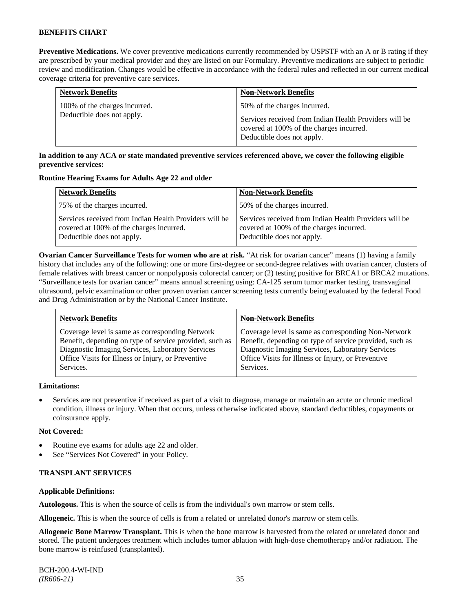**Preventive Medications.** We cover preventive medications currently recommended by USPSTF with an A or B rating if they are prescribed by your medical provider and they are listed on our Formulary. Preventive medications are subject to periodic review and modification. Changes would be effective in accordance with the federal rules and reflected in our current medical coverage criteria for preventive care services.

| <b>Network Benefits</b>       | <b>Non-Network Benefits</b>                                                                                                      |
|-------------------------------|----------------------------------------------------------------------------------------------------------------------------------|
| 100% of the charges incurred. | 50% of the charges incurred.                                                                                                     |
| Deductible does not apply.    | Services received from Indian Health Providers will be<br>covered at 100% of the charges incurred.<br>Deductible does not apply. |

## **In addition to any ACA or state mandated preventive services referenced above, we cover the following eligible preventive services:**

#### **Routine Hearing Exams for Adults Age 22 and older**

| <b>Network Benefits</b>                                                                                                          | <b>Non-Network Benefits</b>                                                                                                      |
|----------------------------------------------------------------------------------------------------------------------------------|----------------------------------------------------------------------------------------------------------------------------------|
| 75% of the charges incurred.                                                                                                     | 50% of the charges incurred.                                                                                                     |
| Services received from Indian Health Providers will be<br>covered at 100% of the charges incurred.<br>Deductible does not apply. | Services received from Indian Health Providers will be<br>covered at 100% of the charges incurred.<br>Deductible does not apply. |

**Ovarian Cancer Surveillance Tests for women who are at risk.** "At risk for ovarian cancer" means (1) having a family history that includes any of the following: one or more first-degree or second-degree relatives with ovarian cancer, clusters of female relatives with breast cancer or nonpolyposis colorectal cancer; or (2) testing positive for BRCA1 or BRCA2 mutations. "Surveillance tests for ovarian cancer" means annual screening using: CA-125 serum tumor marker testing, transvaginal ultrasound, pelvic examination or other proven ovarian cancer screening tests currently being evaluated by the federal Food and Drug Administration or by the National Cancer Institute.

| <b>Network Benefits</b>                                 | <b>Non-Network Benefits</b>                             |
|---------------------------------------------------------|---------------------------------------------------------|
| Coverage level is same as corresponding Network         | Coverage level is same as corresponding Non-Network     |
| Benefit, depending on type of service provided, such as | Benefit, depending on type of service provided, such as |
| Diagnostic Imaging Services, Laboratory Services        | Diagnostic Imaging Services, Laboratory Services        |
| Office Visits for Illness or Injury, or Preventive      | Office Visits for Illness or Injury, or Preventive      |
| Services.                                               | Services.                                               |
|                                                         |                                                         |

## **Limitations:**

• Services are not preventive if received as part of a visit to diagnose, manage or maintain an acute or chronic medical condition, illness or injury. When that occurs, unless otherwise indicated above, standard deductibles, copayments or coinsurance apply.

## **Not Covered:**

- Routine eye exams for adults age 22 and older.
- See "Services Not Covered" in your Policy.

## **TRANSPLANT SERVICES**

## **Applicable Definitions:**

**Autologous.** This is when the source of cells is from the individual's own marrow or stem cells.

**Allogeneic.** This is when the source of cells is from a related or unrelated donor's marrow or stem cells.

**Allogeneic Bone Marrow Transplant.** This is when the bone marrow is harvested from the related or unrelated donor and stored. The patient undergoes treatment which includes tumor ablation with high-dose chemotherapy and/or radiation. The bone marrow is reinfused (transplanted).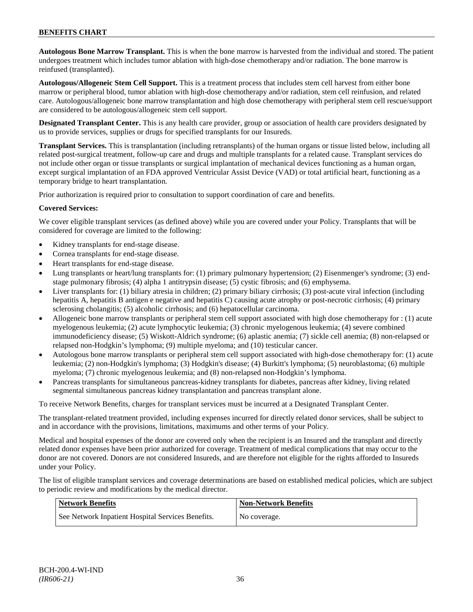**Autologous Bone Marrow Transplant.** This is when the bone marrow is harvested from the individual and stored. The patient undergoes treatment which includes tumor ablation with high-dose chemotherapy and/or radiation. The bone marrow is reinfused (transplanted).

**Autologous/Allogeneic Stem Cell Support.** This is a treatment process that includes stem cell harvest from either bone marrow or peripheral blood, tumor ablation with high-dose chemotherapy and/or radiation, stem cell reinfusion, and related care. Autologous/allogeneic bone marrow transplantation and high dose chemotherapy with peripheral stem cell rescue/support are considered to be autologous/allogeneic stem cell support.

**Designated Transplant Center.** This is any health care provider, group or association of health care providers designated by us to provide services, supplies or drugs for specified transplants for our Insureds.

**Transplant Services.** This is transplantation (including retransplants) of the human organs or tissue listed below, including all related post-surgical treatment, follow-up care and drugs and multiple transplants for a related cause. Transplant services do not include other organ or tissue transplants or surgical implantation of mechanical devices functioning as a human organ, except surgical implantation of an FDA approved Ventricular Assist Device (VAD) or total artificial heart, functioning as a temporary bridge to heart transplantation.

Prior authorization is required prior to consultation to support coordination of care and benefits.

## **Covered Services:**

We cover eligible transplant services (as defined above) while you are covered under your Policy. Transplants that will be considered for coverage are limited to the following:

- Kidney transplants for end-stage disease.
- Cornea transplants for end-stage disease.
- Heart transplants for end-stage disease.
- Lung transplants or heart/lung transplants for: (1) primary pulmonary hypertension; (2) Eisenmenger's syndrome; (3) endstage pulmonary fibrosis; (4) alpha 1 antitrypsin disease; (5) cystic fibrosis; and (6) emphysema.
- Liver transplants for: (1) biliary atresia in children; (2) primary biliary cirrhosis; (3) post-acute viral infection (including hepatitis A, hepatitis B antigen e negative and hepatitis C) causing acute atrophy or post-necrotic cirrhosis; (4) primary sclerosing cholangitis; (5) alcoholic cirrhosis; and (6) hepatocellular carcinoma.
- Allogeneic bone marrow transplants or peripheral stem cell support associated with high dose chemotherapy for : (1) acute myelogenous leukemia; (2) acute lymphocytic leukemia; (3) chronic myelogenous leukemia; (4) severe combined immunodeficiency disease; (5) Wiskott-Aldrich syndrome; (6) aplastic anemia; (7) sickle cell anemia; (8) non-relapsed or relapsed non-Hodgkin's lymphoma; (9) multiple myeloma; and (10) testicular cancer.
- Autologous bone marrow transplants or peripheral stem cell support associated with high-dose chemotherapy for: (1) acute leukemia; (2) non-Hodgkin's lymphoma; (3) Hodgkin's disease; (4) Burkitt's lymphoma; (5) neuroblastoma; (6) multiple myeloma; (7) chronic myelogenous leukemia; and (8) non-relapsed non-Hodgkin's lymphoma.
- Pancreas transplants for simultaneous pancreas-kidney transplants for diabetes, pancreas after kidney, living related segmental simultaneous pancreas kidney transplantation and pancreas transplant alone.

To receive Network Benefits, charges for transplant services must be incurred at a Designated Transplant Center.

The transplant-related treatment provided, including expenses incurred for directly related donor services, shall be subject to and in accordance with the provisions, limitations, maximums and other terms of your Policy.

Medical and hospital expenses of the donor are covered only when the recipient is an Insured and the transplant and directly related donor expenses have been prior authorized for coverage. Treatment of medical complications that may occur to the donor are not covered. Donors are not considered Insureds, and are therefore not eligible for the rights afforded to Insureds under your Policy.

The list of eligible transplant services and coverage determinations are based on established medical policies, which are subject to periodic review and modifications by the medical director.

| <b>Network Benefits</b>                           | <b>Non-Network Benefits</b> |
|---------------------------------------------------|-----------------------------|
| See Network Inpatient Hospital Services Benefits. | No coverage.                |